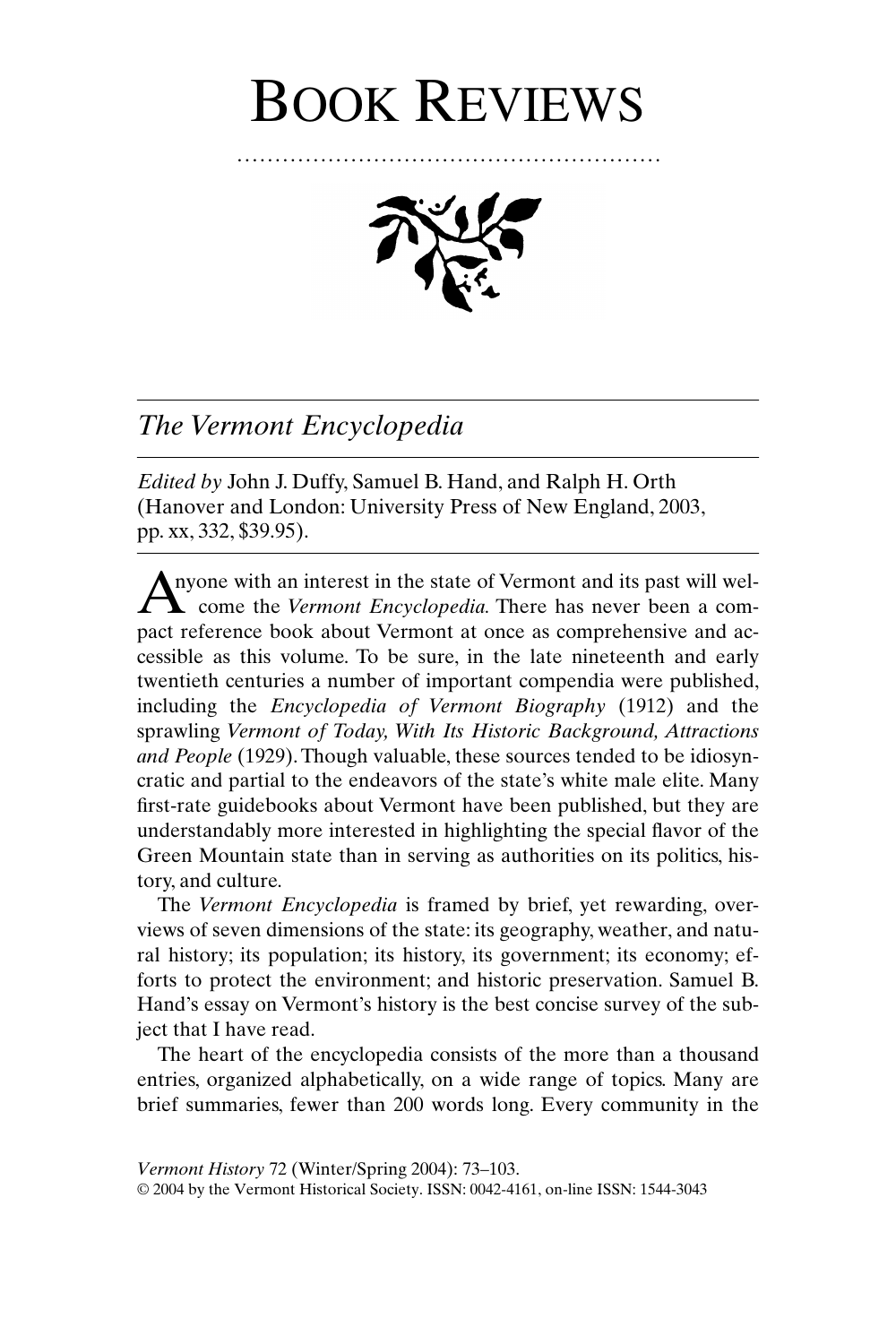# BOOK REVIEWS

........................................................



# *The Vermont Encyclopedia*

*Edited by* John J. Duffy, Samuel B. Hand, and Ralph H. Orth (Hanover and London: University Press of New England, 2003, pp. xx, 332, \$39.95).

Anyone with an interest in the state of Vermont and its past will welcome the Vermont Encyclopedia. There has never been a comcome the *Vermont Encyclopedia.* There has never been a compact reference book about Vermont at once as comprehensive and accessible as this volume. To be sure, in the late nineteenth and early twentieth centuries a number of important compendia were published, including the *Encyclopedia of Vermont Biography* (1912) and the sprawling *Vermont of Today, With Its Historic Background, Attractions and People* (1929). Though valuable, these sources tended to be idiosyncratic and partial to the endeavors of the state's white male elite. Many first-rate guidebooks about Vermont have been published, but they are understandably more interested in highlighting the special flavor of the Green Mountain state than in serving as authorities on its politics, history, and culture.

The *Vermont Encyclopedia* is framed by brief, yet rewarding, overviews of seven dimensions of the state: its geography, weather, and natural history; its population; its history, its government; its economy; efforts to protect the environment; and historic preservation. Samuel B. Hand's essay on Vermont's history is the best concise survey of the subject that I have read.

The heart of the encyclopedia consists of the more than a thousand entries, organized alphabetically, on a wide range of topics. Many are brief summaries, fewer than 200 words long. Every community in the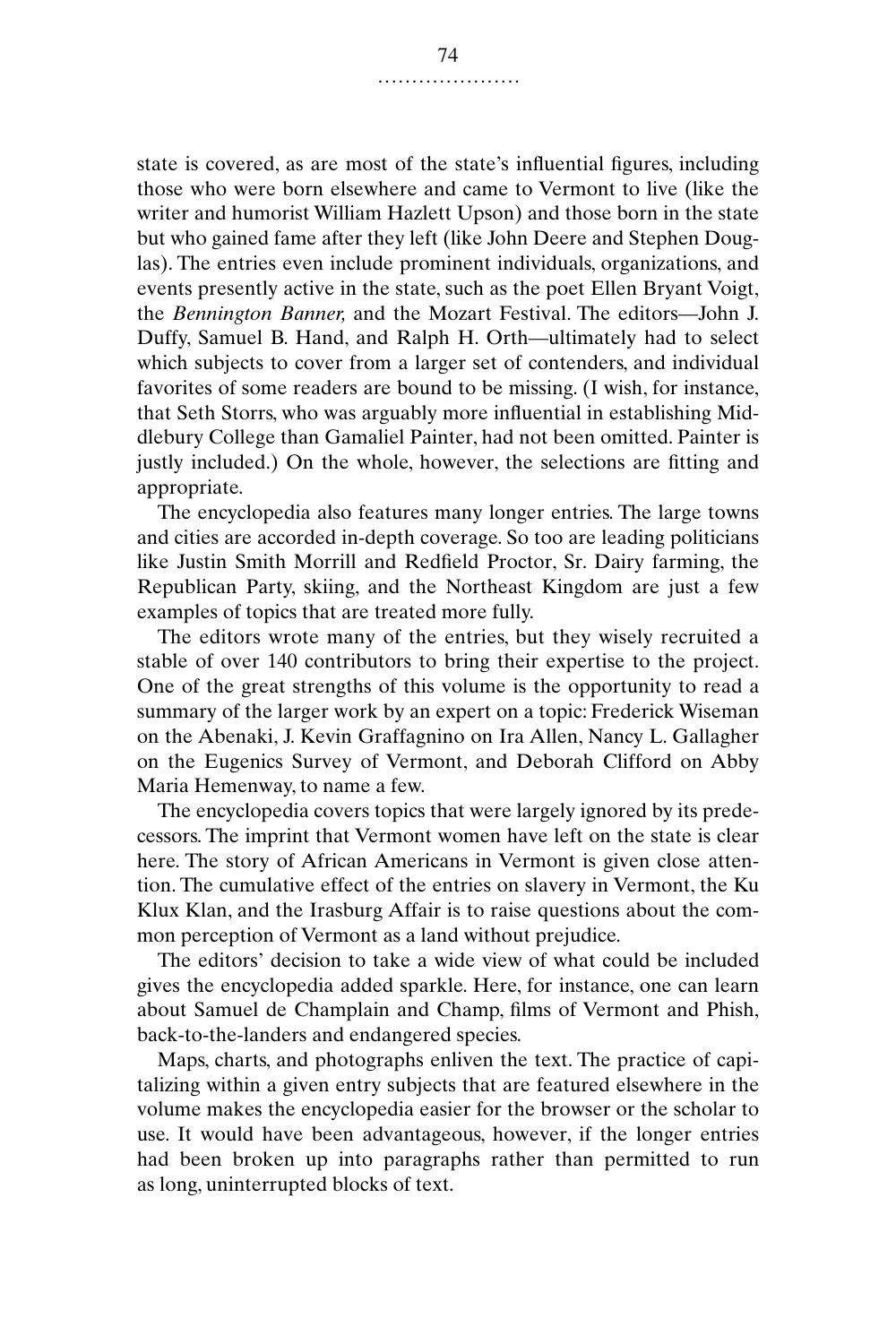state is covered, as are most of the state's influential figures, including those who were born elsewhere and came to Vermont to live (like the writer and humorist William Hazlett Upson) and those born in the state but who gained fame after they left (like John Deere and Stephen Douglas). The entries even include prominent individuals, organizations, and events presently active in the state, such as the poet Ellen Bryant Voigt, the *Bennington Banner,* and the Mozart Festival. The editors—John J. Duffy, Samuel B. Hand, and Ralph H. Orth—ultimately had to select which subjects to cover from a larger set of contenders, and individual favorites of some readers are bound to be missing. (I wish, for instance, that Seth Storrs, who was arguably more influential in establishing Middlebury College than Gamaliel Painter, had not been omitted. Painter is justly included.) On the whole, however, the selections are fitting and appropriate.

The encyclopedia also features many longer entries. The large towns and cities are accorded in-depth coverage. So too are leading politicians like Justin Smith Morrill and Redfield Proctor, Sr. Dairy farming, the Republican Party, skiing, and the Northeast Kingdom are just a few examples of topics that are treated more fully.

The editors wrote many of the entries, but they wisely recruited a stable of over 140 contributors to bring their expertise to the project. One of the great strengths of this volume is the opportunity to read a summary of the larger work by an expert on a topic: Frederick Wiseman on the Abenaki, J. Kevin Graffagnino on Ira Allen, Nancy L. Gallagher on the Eugenics Survey of Vermont, and Deborah Clifford on Abby Maria Hemenway, to name a few.

The encyclopedia covers topics that were largely ignored by its predecessors. The imprint that Vermont women have left on the state is clear here. The story of African Americans in Vermont is given close attention. The cumulative effect of the entries on slavery in Vermont, the Ku Klux Klan, and the Irasburg Affair is to raise questions about the common perception of Vermont as a land without prejudice.

The editors' decision to take a wide view of what could be included gives the encyclopedia added sparkle. Here, for instance, one can learn about Samuel de Champlain and Champ, films of Vermont and Phish, back-to-the-landers and endangered species.

Maps, charts, and photographs enliven the text. The practice of capitalizing within a given entry subjects that are featured elsewhere in the volume makes the encyclopedia easier for the browser or the scholar to use. It would have been advantageous, however, if the longer entries had been broken up into paragraphs rather than permitted to run as long, uninterrupted blocks of text.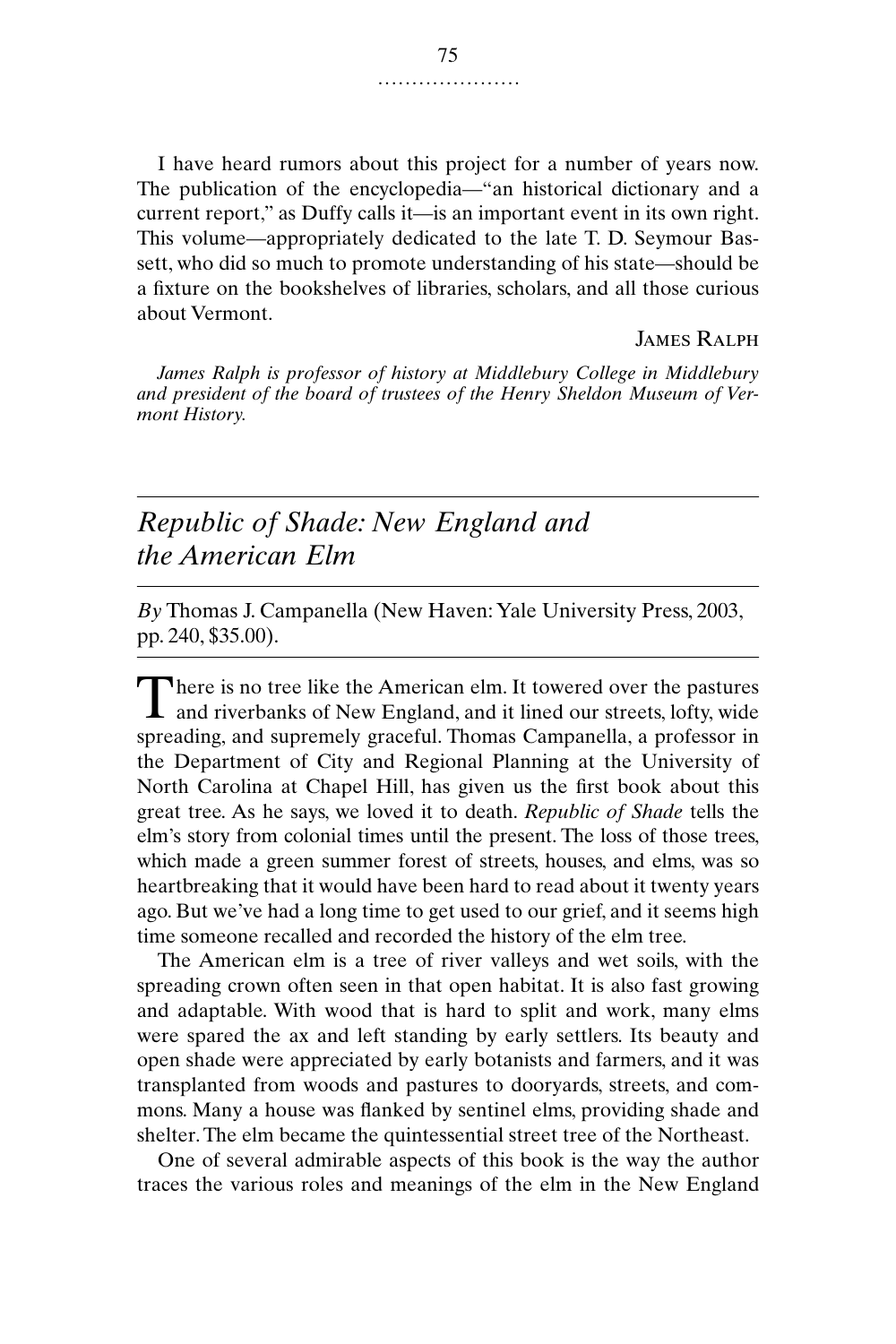I have heard rumors about this project for a number of years now. The publication of the encyclopedia—"an historical dictionary and a current report," as Duffy calls it—is an important event in its own right. This volume—appropriately dedicated to the late T. D. Seymour Bassett, who did so much to promote understanding of his state—should be a fixture on the bookshelves of libraries, scholars, and all those curious about Vermont.

#### James Ralph

*James Ralph is professor of history at Middlebury College in Middlebury and president of the board of trustees of the Henry Sheldon Museum of Vermont History.*

## *Republic of Shade: New England and the American Elm*

*By* Thomas J. Campanella (New Haven: Yale University Press, 2003, pp. 240, \$35.00).

here is no tree like the American elm. It towered over the pastures There is no tree like the American elm. It towered over the pastures<br>and riverbanks of New England, and it lined our streets, lofty, wide spreading, and supremely graceful. Thomas Campanella, a professor in the Department of City and Regional Planning at the University of North Carolina at Chapel Hill, has given us the first book about this great tree. As he says, we loved it to death. *Republic of Shade* tells the elm's story from colonial times until the present. The loss of those trees, which made a green summer forest of streets, houses, and elms, was so heartbreaking that it would have been hard to read about it twenty years ago. But we've had a long time to get used to our grief, and it seems high time someone recalled and recorded the history of the elm tree.

The American elm is a tree of river valleys and wet soils, with the spreading crown often seen in that open habitat. It is also fast growing and adaptable. With wood that is hard to split and work, many elms were spared the ax and left standing by early settlers. Its beauty and open shade were appreciated by early botanists and farmers, and it was transplanted from woods and pastures to dooryards, streets, and commons. Many a house was flanked by sentinel elms, providing shade and shelter. The elm became the quintessential street tree of the Northeast.

One of several admirable aspects of this book is the way the author traces the various roles and meanings of the elm in the New England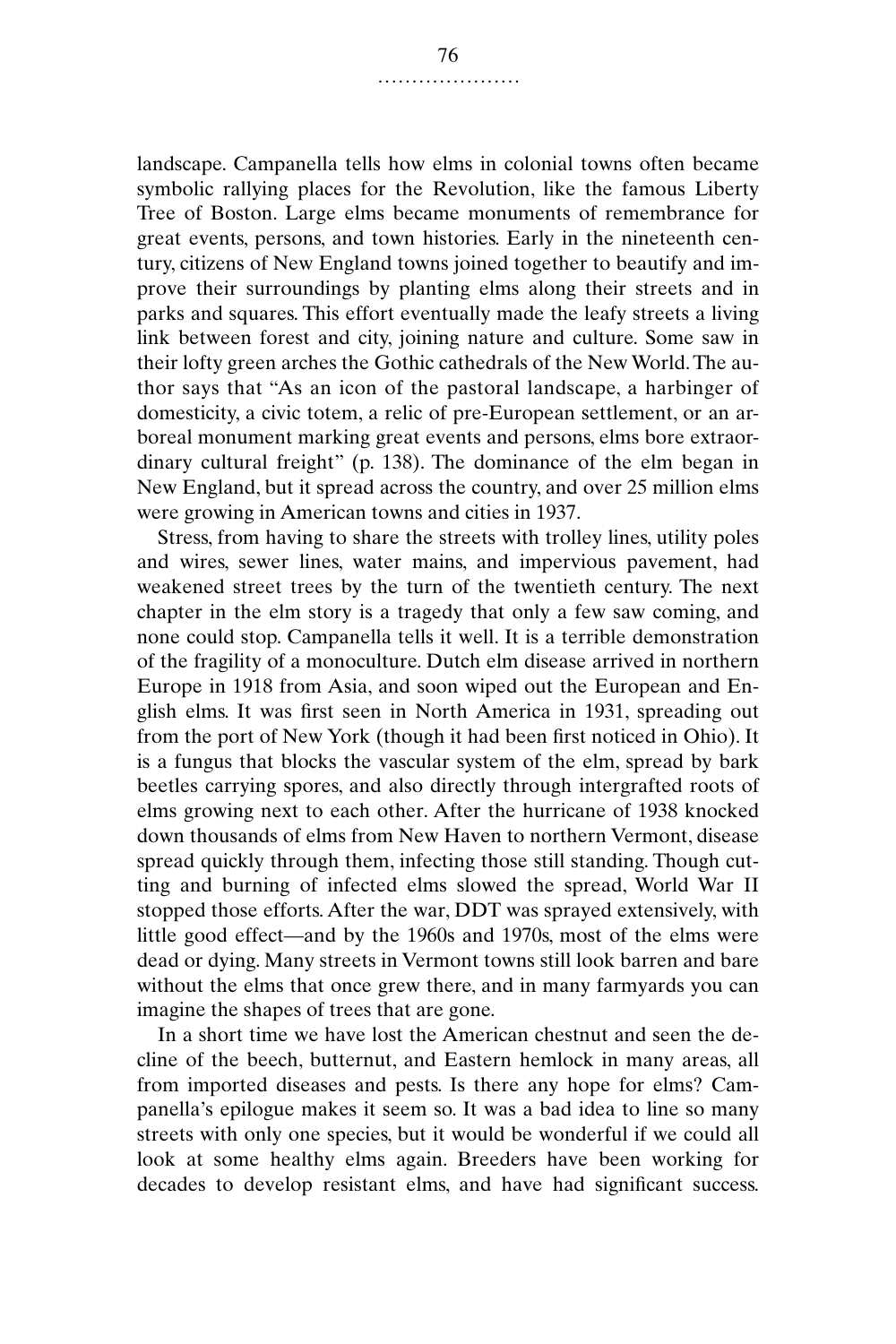landscape. Campanella tells how elms in colonial towns often became symbolic rallying places for the Revolution, like the famous Liberty Tree of Boston. Large elms became monuments of remembrance for great events, persons, and town histories. Early in the nineteenth century, citizens of New England towns joined together to beautify and improve their surroundings by planting elms along their streets and in parks and squares. This effort eventually made the leafy streets a living link between forest and city, joining nature and culture. Some saw in their lofty green arches the Gothic cathedrals of the New World. The author says that "As an icon of the pastoral landscape, a harbinger of domesticity, a civic totem, a relic of pre-European settlement, or an arboreal monument marking great events and persons, elms bore extraordinary cultural freight" (p. 138). The dominance of the elm began in New England, but it spread across the country, and over 25 million elms were growing in American towns and cities in 1937.

Stress, from having to share the streets with trolley lines, utility poles and wires, sewer lines, water mains, and impervious pavement, had weakened street trees by the turn of the twentieth century. The next chapter in the elm story is a tragedy that only a few saw coming, and none could stop. Campanella tells it well. It is a terrible demonstration of the fragility of a monoculture. Dutch elm disease arrived in northern Europe in 1918 from Asia, and soon wiped out the European and English elms. It was first seen in North America in 1931, spreading out from the port of New York (though it had been first noticed in Ohio). It is a fungus that blocks the vascular system of the elm, spread by bark beetles carrying spores, and also directly through intergrafted roots of elms growing next to each other. After the hurricane of 1938 knocked down thousands of elms from New Haven to northern Vermont, disease spread quickly through them, infecting those still standing. Though cutting and burning of infected elms slowed the spread, World War II stopped those efforts. After the war, DDT was sprayed extensively, with little good effect—and by the 1960s and 1970s, most of the elms were dead or dying. Many streets in Vermont towns still look barren and bare without the elms that once grew there, and in many farmyards you can imagine the shapes of trees that are gone.

In a short time we have lost the American chestnut and seen the decline of the beech, butternut, and Eastern hemlock in many areas, all from imported diseases and pests. Is there any hope for elms? Campanella's epilogue makes it seem so. It was a bad idea to line so many streets with only one species, but it would be wonderful if we could all look at some healthy elms again. Breeders have been working for decades to develop resistant elms, and have had significant success.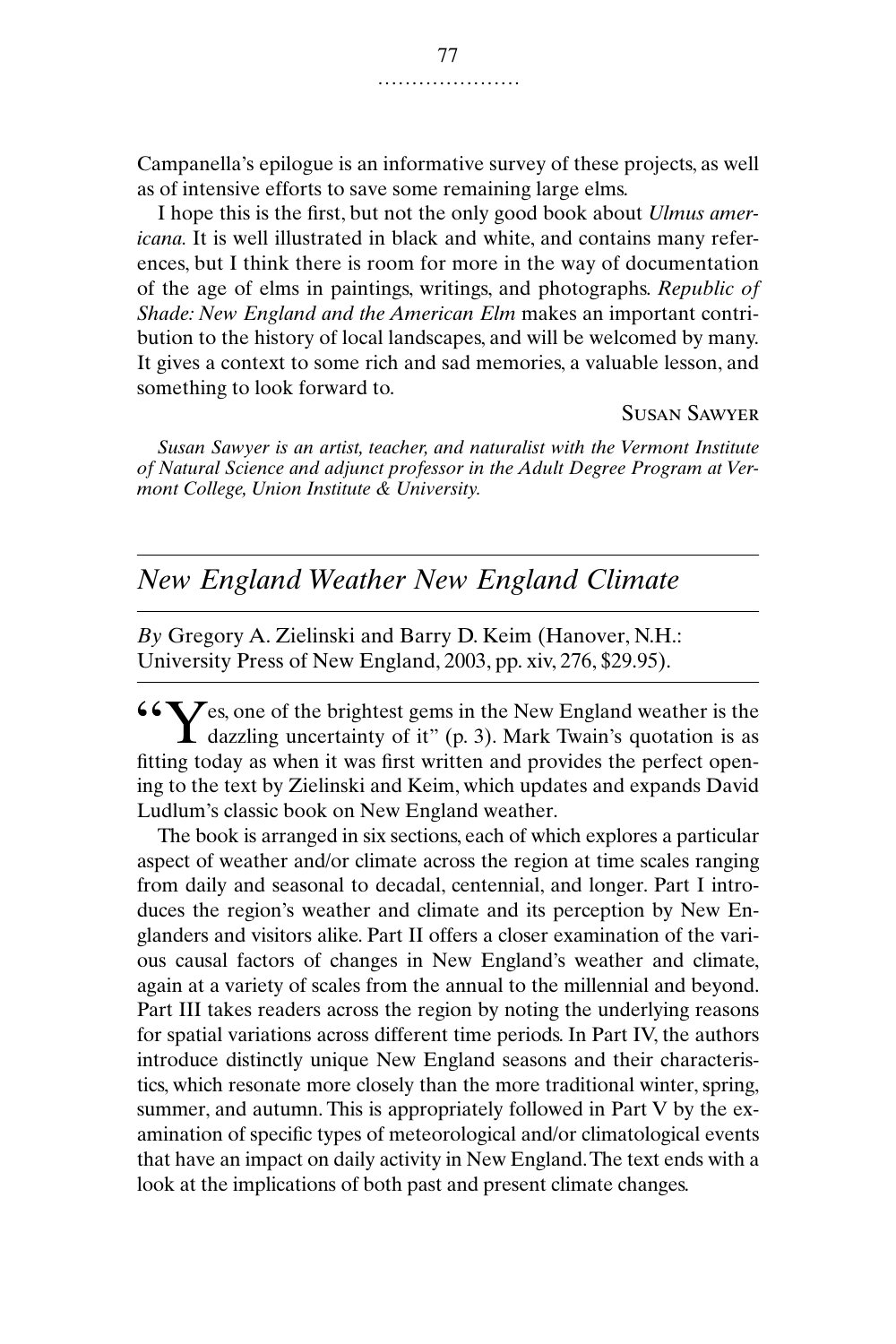Campanella's epilogue is an informative survey of these projects, as well as of intensive efforts to save some remaining large elms.

I hope this is the first, but not the only good book about *Ulmus americana.* It is well illustrated in black and white, and contains many references, but I think there is room for more in the way of documentation of the age of elms in paintings, writings, and photographs. *Republic of Shade: New England and the American Elm* makes an important contribution to the history of local landscapes, and will be welcomed by many. It gives a context to some rich and sad memories, a valuable lesson, and something to look forward to.

#### Susan Sawyer

*Susan Sawyer is an artist, teacher, and naturalist with the Vermont Institute of Natural Science and adjunct professor in the Adult Degree Program at Vermont College, Union Institute & University.*

## *New England Weather New England Climate*

*By* Gregory A. Zielinski and Barry D. Keim (Hanover, N.H.: University Press of New England, 2003, pp. xiv, 276, \$29.95).

es, one of the brightest gems in the New England weather is the  $\zeta$  C<sub>da</sub> cone of the brightest gems in the New England weather is the dazzling uncertainty of it" (p. 3). Mark Twain's quotation is as fitting today as when it was first written and provides the perfect opening to the text by Zielinski and Keim, which updates and expands David Ludlum's classic book on New England weather.

The book is arranged in six sections, each of which explores a particular aspect of weather and/or climate across the region at time scales ranging from daily and seasonal to decadal, centennial, and longer. Part I introduces the region's weather and climate and its perception by New Englanders and visitors alike. Part II offers a closer examination of the various causal factors of changes in New England's weather and climate, again at a variety of scales from the annual to the millennial and beyond. Part III takes readers across the region by noting the underlying reasons for spatial variations across different time periods. In Part IV, the authors introduce distinctly unique New England seasons and their characteristics, which resonate more closely than the more traditional winter, spring, summer, and autumn. This is appropriately followed in Part V by the examination of specific types of meteorological and/or climatological events that have an impact on daily activity in New England. The text ends with a look at the implications of both past and present climate changes.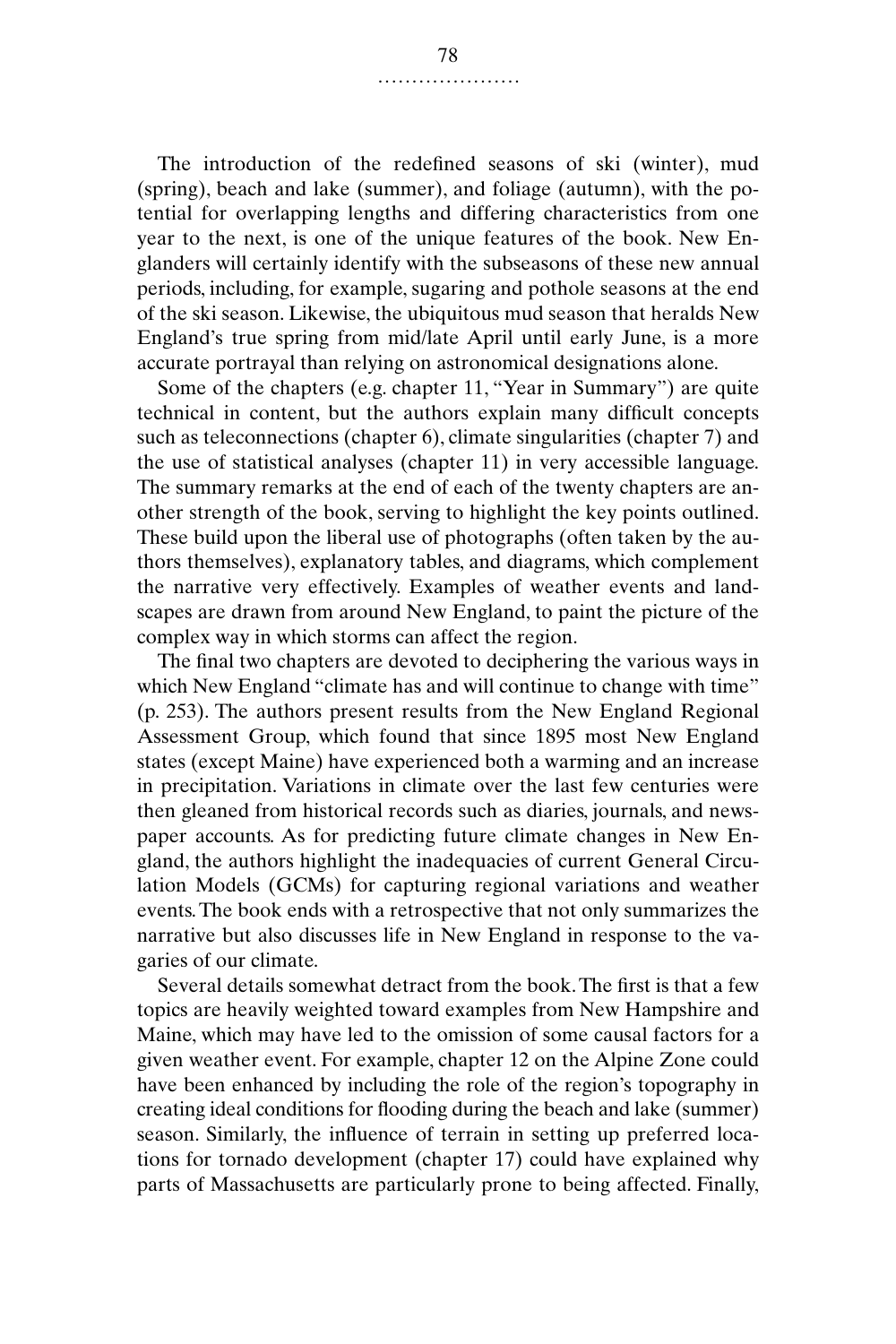The introduction of the redefined seasons of ski (winter), mud (spring), beach and lake (summer), and foliage (autumn), with the potential for overlapping lengths and differing characteristics from one year to the next, is one of the unique features of the book. New Englanders will certainly identify with the subseasons of these new annual periods, including, for example, sugaring and pothole seasons at the end of the ski season. Likewise, the ubiquitous mud season that heralds New England's true spring from mid/late April until early June, is a more accurate portrayal than relying on astronomical designations alone.

Some of the chapters (e.g. chapter 11, "Year in Summary") are quite technical in content, but the authors explain many difficult concepts such as teleconnections (chapter 6), climate singularities (chapter 7) and the use of statistical analyses (chapter 11) in very accessible language. The summary remarks at the end of each of the twenty chapters are another strength of the book, serving to highlight the key points outlined. These build upon the liberal use of photographs (often taken by the authors themselves), explanatory tables, and diagrams, which complement the narrative very effectively. Examples of weather events and landscapes are drawn from around New England, to paint the picture of the complex way in which storms can affect the region.

The final two chapters are devoted to deciphering the various ways in which New England "climate has and will continue to change with time" (p. 253). The authors present results from the New England Regional Assessment Group, which found that since 1895 most New England states (except Maine) have experienced both a warming and an increase in precipitation. Variations in climate over the last few centuries were then gleaned from historical records such as diaries, journals, and newspaper accounts. As for predicting future climate changes in New England, the authors highlight the inadequacies of current General Circulation Models (GCMs) for capturing regional variations and weather events. The book ends with a retrospective that not only summarizes the narrative but also discusses life in New England in response to the vagaries of our climate.

Several details somewhat detract from the book. The first is that a few topics are heavily weighted toward examples from New Hampshire and Maine, which may have led to the omission of some causal factors for a given weather event. For example, chapter 12 on the Alpine Zone could have been enhanced by including the role of the region's topography in creating ideal conditions for flooding during the beach and lake (summer) season. Similarly, the influence of terrain in setting up preferred locations for tornado development (chapter 17) could have explained why parts of Massachusetts are particularly prone to being affected. Finally,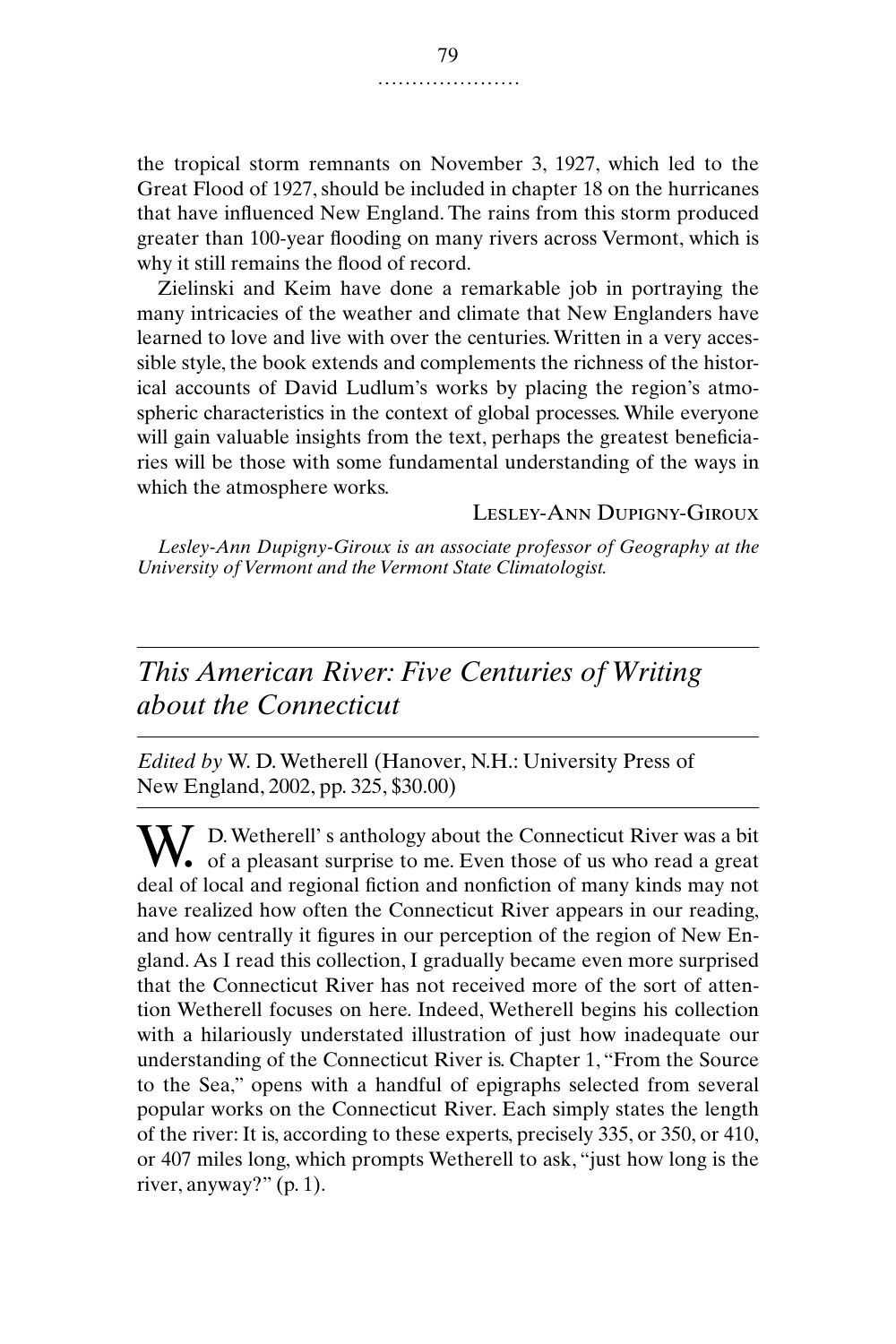the tropical storm remnants on November 3, 1927, which led to the Great Flood of 1927, should be included in chapter 18 on the hurricanes that have influenced New England. The rains from this storm produced greater than 100-year flooding on many rivers across Vermont, which is why it still remains the flood of record.

Zielinski and Keim have done a remarkable job in portraying the many intricacies of the weather and climate that New Englanders have learned to love and live with over the centuries. Written in a very accessible style, the book extends and complements the richness of the historical accounts of David Ludlum's works by placing the region's atmospheric characteristics in the context of global processes. While everyone will gain valuable insights from the text, perhaps the greatest beneficiaries will be those with some fundamental understanding of the ways in which the atmosphere works.

Lesley-Ann Dupigny-Giroux

*Lesley-Ann Dupigny-Giroux is an associate professor of Geography at the University of Vermont and the Vermont State Climatologist.*

# *This American River: Five Centuries of Writing about the Connecticut*

*Edited by* W. D. Wetherell (Hanover, N.H.: University Press of New England, 2002, pp. 325, \$30.00)

W. D. Wetherell's anthology about the Connecticut River was a bit<br>of a pleasant surprise to me. Even those of us who read a great **V**. of a pleasant surprise to me. Even those of us who read a great deal of local and regional fiction and nonfiction of many kinds may not have realized how often the Connecticut River appears in our reading, and how centrally it figures in our perception of the region of New England. As I read this collection, I gradually became even more surprised that the Connecticut River has not received more of the sort of attention Wetherell focuses on here. Indeed, Wetherell begins his collection with a hilariously understated illustration of just how inadequate our understanding of the Connecticut River is. Chapter 1, "From the Source to the Sea," opens with a handful of epigraphs selected from several popular works on the Connecticut River. Each simply states the length of the river: It is, according to these experts, precisely 335, or 350, or 410, or 407 miles long, which prompts Wetherell to ask, "just how long is the river, anyway?" (p. 1).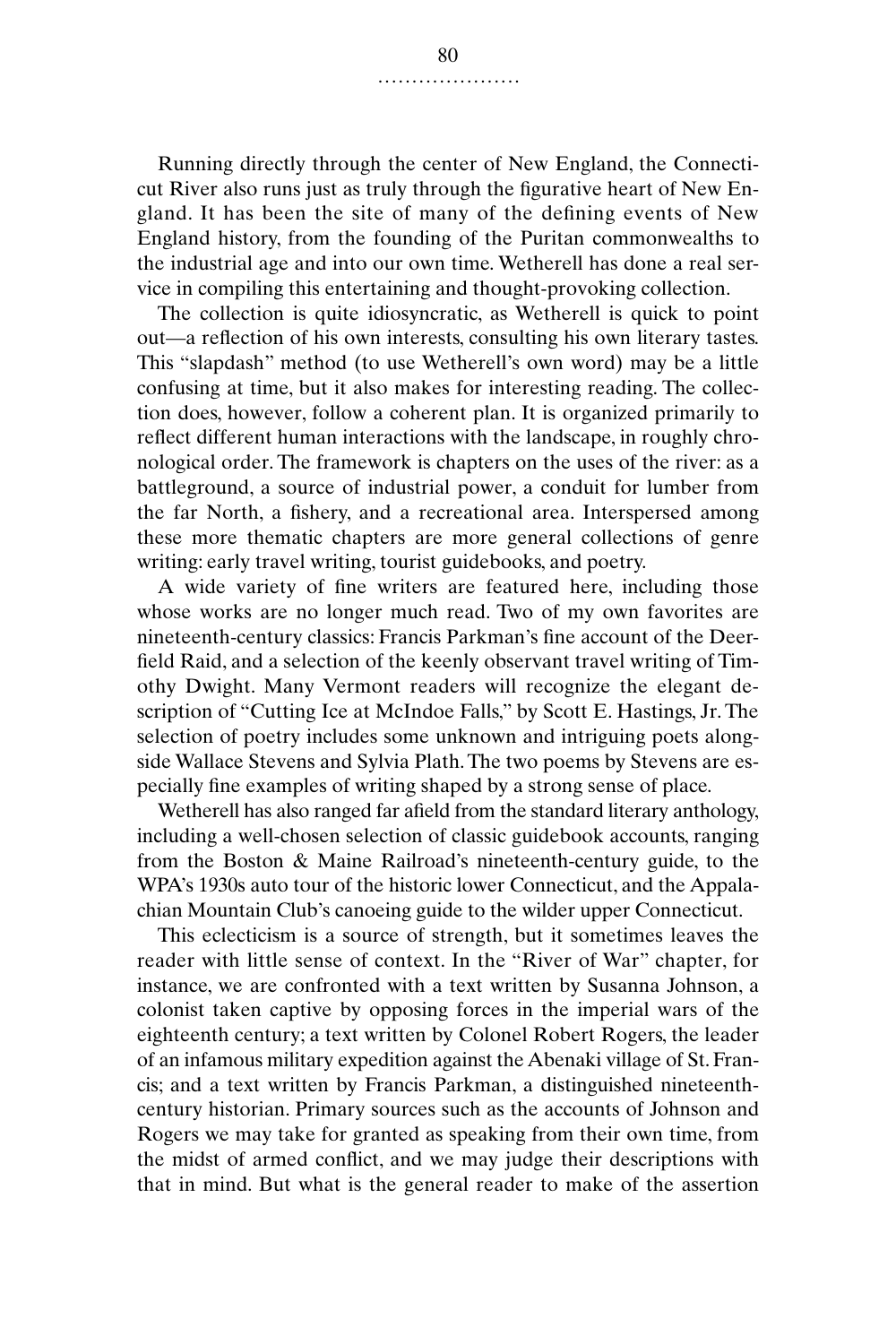Running directly through the center of New England, the Connecticut River also runs just as truly through the figurative heart of New England. It has been the site of many of the defining events of New England history, from the founding of the Puritan commonwealths to the industrial age and into our own time. Wetherell has done a real service in compiling this entertaining and thought-provoking collection.

The collection is quite idiosyncratic, as Wetherell is quick to point out—a reflection of his own interests, consulting his own literary tastes. This "slapdash" method (to use Wetherell's own word) may be a little confusing at time, but it also makes for interesting reading. The collection does, however, follow a coherent plan. It is organized primarily to reflect different human interactions with the landscape, in roughly chronological order. The framework is chapters on the uses of the river: as a battleground, a source of industrial power, a conduit for lumber from the far North, a fishery, and a recreational area. Interspersed among these more thematic chapters are more general collections of genre writing: early travel writing, tourist guidebooks, and poetry.

A wide variety of fine writers are featured here, including those whose works are no longer much read. Two of my own favorites are nineteenth-century classics: Francis Parkman's fine account of the Deerfield Raid, and a selection of the keenly observant travel writing of Timothy Dwight. Many Vermont readers will recognize the elegant description of "Cutting Ice at McIndoe Falls," by Scott E. Hastings, Jr. The selection of poetry includes some unknown and intriguing poets alongside Wallace Stevens and Sylvia Plath. The two poems by Stevens are especially fine examples of writing shaped by a strong sense of place.

Wetherell has also ranged far afield from the standard literary anthology, including a well-chosen selection of classic guidebook accounts, ranging from the Boston & Maine Railroad's nineteenth-century guide, to the WPA's 1930s auto tour of the historic lower Connecticut, and the Appalachian Mountain Club's canoeing guide to the wilder upper Connecticut.

This eclecticism is a source of strength, but it sometimes leaves the reader with little sense of context. In the "River of War" chapter, for instance, we are confronted with a text written by Susanna Johnson, a colonist taken captive by opposing forces in the imperial wars of the eighteenth century; a text written by Colonel Robert Rogers, the leader of an infamous military expedition against the Abenaki village of St. Francis; and a text written by Francis Parkman, a distinguished nineteenthcentury historian. Primary sources such as the accounts of Johnson and Rogers we may take for granted as speaking from their own time, from the midst of armed conflict, and we may judge their descriptions with that in mind. But what is the general reader to make of the assertion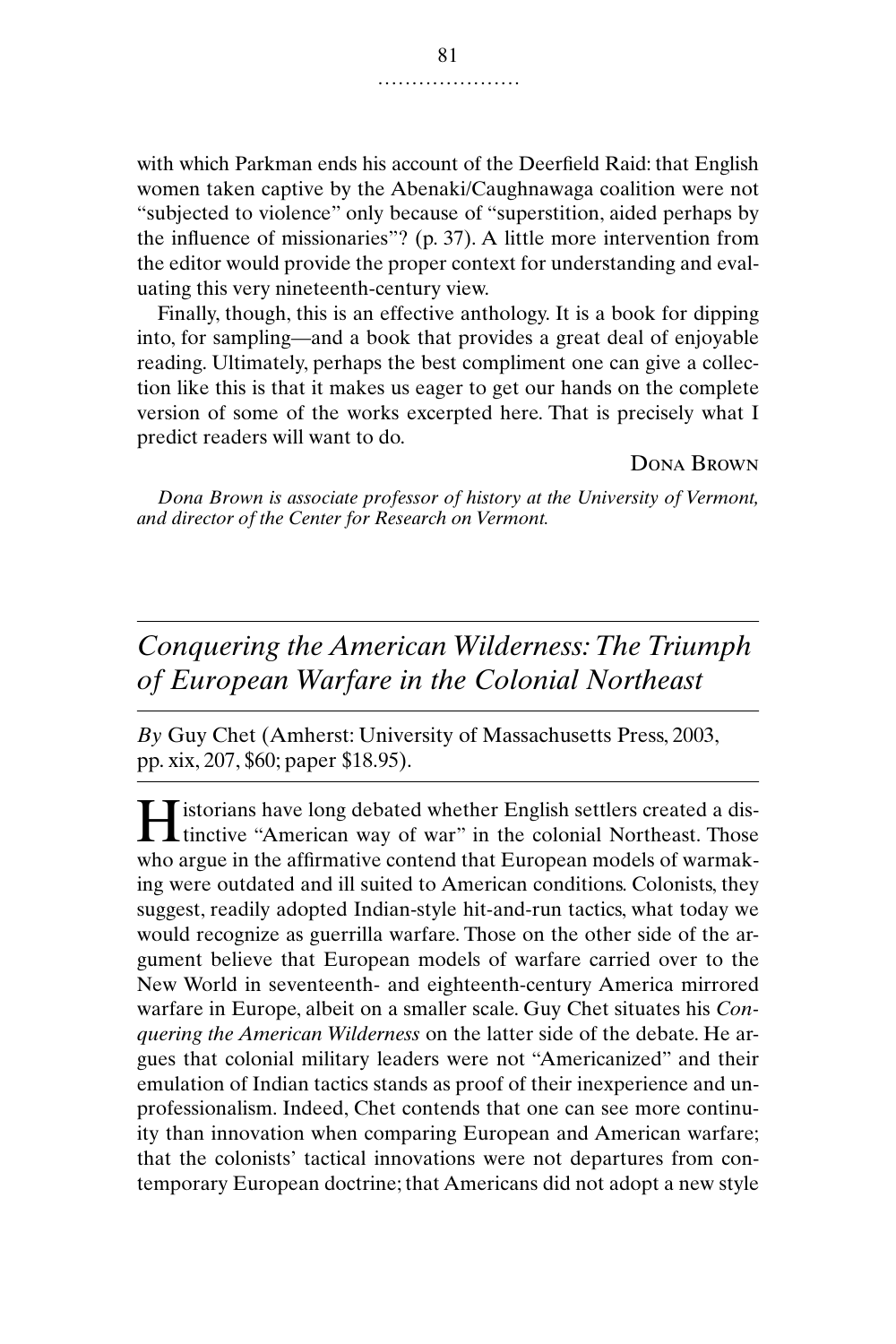with which Parkman ends his account of the Deerfield Raid: that English women taken captive by the Abenaki/Caughnawaga coalition were not "subjected to violence" only because of "superstition, aided perhaps by the influence of missionaries"? (p. 37). A little more intervention from the editor would provide the proper context for understanding and evaluating this very nineteenth-century view.

Finally, though, this is an effective anthology. It is a book for dipping into, for sampling—and a book that provides a great deal of enjoyable reading. Ultimately, perhaps the best compliment one can give a collection like this is that it makes us eager to get our hands on the complete version of some of the works excerpted here. That is precisely what I predict readers will want to do.

Dona Brown

*Dona Brown is associate professor of history at the University of Vermont, and director of the Center for Research on Vermont.*

# *Conquering the American Wilderness: The Triumph of European Warfare in the Colonial Northeast*

*By* Guy Chet (Amherst: University of Massachusetts Press, 2003, pp. xix, 207, \$60; paper \$18.95).

istorians have long debated whether English settlers created a dis**the English settlers created a districtive "American way of war" in the colonial Northeast. Those** who argue in the affirmative contend that European models of warmaking were outdated and ill suited to American conditions. Colonists, they suggest, readily adopted Indian-style hit-and-run tactics, what today we would recognize as guerrilla warfare. Those on the other side of the argument believe that European models of warfare carried over to the New World in seventeenth- and eighteenth-century America mirrored warfare in Europe, albeit on a smaller scale. Guy Chet situates his *Conquering the American Wilderness* on the latter side of the debate. He argues that colonial military leaders were not "Americanized" and their emulation of Indian tactics stands as proof of their inexperience and unprofessionalism. Indeed, Chet contends that one can see more continuity than innovation when comparing European and American warfare; that the colonists' tactical innovations were not departures from contemporary European doctrine; that Americans did not adopt a new style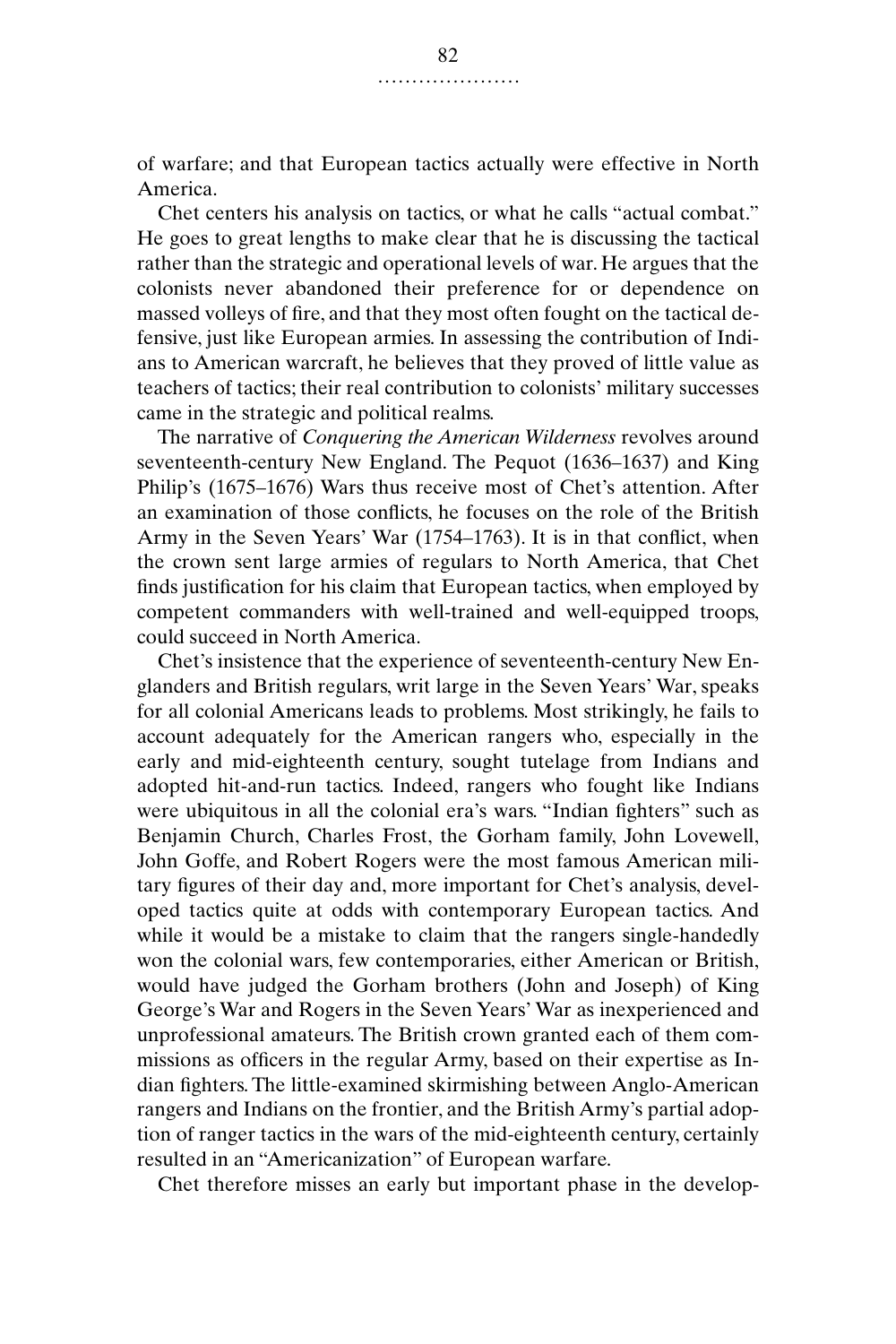of warfare; and that European tactics actually were effective in North America.

Chet centers his analysis on tactics, or what he calls "actual combat." He goes to great lengths to make clear that he is discussing the tactical rather than the strategic and operational levels of war. He argues that the colonists never abandoned their preference for or dependence on massed volleys of fire, and that they most often fought on the tactical defensive, just like European armies. In assessing the contribution of Indians to American warcraft, he believes that they proved of little value as teachers of tactics; their real contribution to colonists' military successes came in the strategic and political realms.

The narrative of *Conquering the American Wilderness* revolves around seventeenth-century New England. The Pequot (1636–1637) and King Philip's (1675–1676) Wars thus receive most of Chet's attention. After an examination of those conflicts, he focuses on the role of the British Army in the Seven Years' War (1754–1763). It is in that conflict, when the crown sent large armies of regulars to North America, that Chet finds justification for his claim that European tactics, when employed by competent commanders with well-trained and well-equipped troops, could succeed in North America.

Chet's insistence that the experience of seventeenth-century New Englanders and British regulars, writ large in the Seven Years' War, speaks for all colonial Americans leads to problems. Most strikingly, he fails to account adequately for the American rangers who, especially in the early and mid-eighteenth century, sought tutelage from Indians and adopted hit-and-run tactics. Indeed, rangers who fought like Indians were ubiquitous in all the colonial era's wars. "Indian fighters" such as Benjamin Church, Charles Frost, the Gorham family, John Lovewell, John Goffe, and Robert Rogers were the most famous American military figures of their day and, more important for Chet's analysis, developed tactics quite at odds with contemporary European tactics. And while it would be a mistake to claim that the rangers single-handedly won the colonial wars, few contemporaries, either American or British, would have judged the Gorham brothers (John and Joseph) of King George's War and Rogers in the Seven Years' War as inexperienced and unprofessional amateurs. The British crown granted each of them commissions as officers in the regular Army, based on their expertise as Indian fighters. The little-examined skirmishing between Anglo-American rangers and Indians on the frontier, and the British Army's partial adoption of ranger tactics in the wars of the mid-eighteenth century, certainly resulted in an "Americanization" of European warfare.

Chet therefore misses an early but important phase in the develop-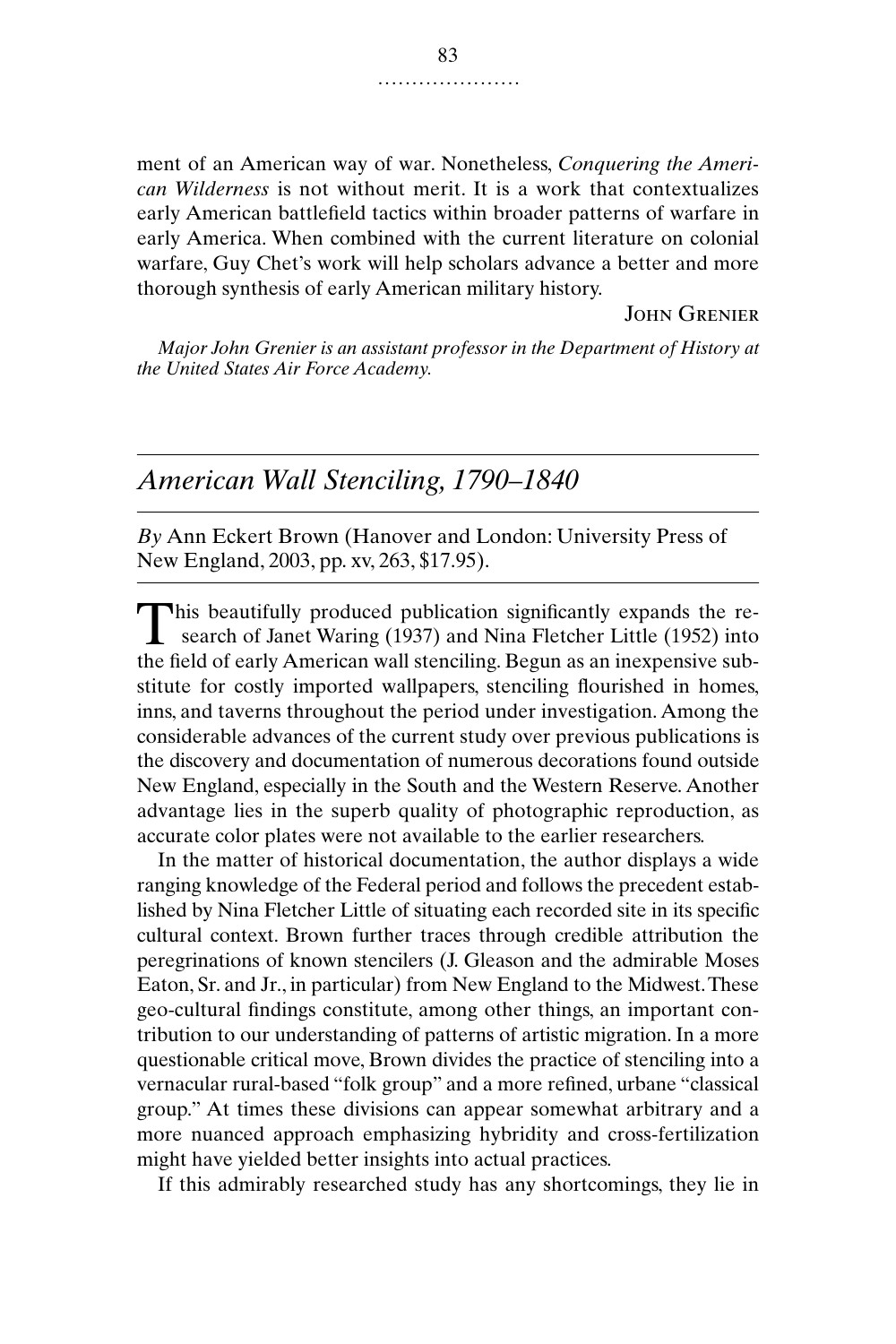ment of an American way of war. Nonetheless, *Conquering the American Wilderness* is not without merit. It is a work that contextualizes early American battlefield tactics within broader patterns of warfare in early America. When combined with the current literature on colonial warfare, Guy Chet's work will help scholars advance a better and more thorough synthesis of early American military history.

#### John Grenier

*Major John Grenier is an assistant professor in the Department of History at the United States Air Force Academy.*

## *American Wall Stenciling, 1790–1840*

*By* Ann Eckert Brown (Hanover and London: University Press of New England, 2003, pp. xv, 263, \$17.95).

This beautifully produced publication significantly expands the research of Janet Waring (1937) and Nina Fletcher Little (1952) into search of Janet Waring (1937) and Nina Fletcher Little (1952) into the field of early American wall stenciling. Begun as an inexpensive substitute for costly imported wallpapers, stenciling flourished in homes, inns, and taverns throughout the period under investigation. Among the considerable advances of the current study over previous publications is the discovery and documentation of numerous decorations found outside New England, especially in the South and the Western Reserve. Another advantage lies in the superb quality of photographic reproduction, as accurate color plates were not available to the earlier researchers.

In the matter of historical documentation, the author displays a wide ranging knowledge of the Federal period and follows the precedent established by Nina Fletcher Little of situating each recorded site in its specific cultural context. Brown further traces through credible attribution the peregrinations of known stencilers (J. Gleason and the admirable Moses Eaton, Sr. and Jr., in particular) from New England to the Midwest. These geo-cultural findings constitute, among other things, an important contribution to our understanding of patterns of artistic migration. In a more questionable critical move, Brown divides the practice of stenciling into a vernacular rural-based "folk group" and a more refined, urbane "classical group." At times these divisions can appear somewhat arbitrary and a more nuanced approach emphasizing hybridity and cross-fertilization might have yielded better insights into actual practices.

If this admirably researched study has any shortcomings, they lie in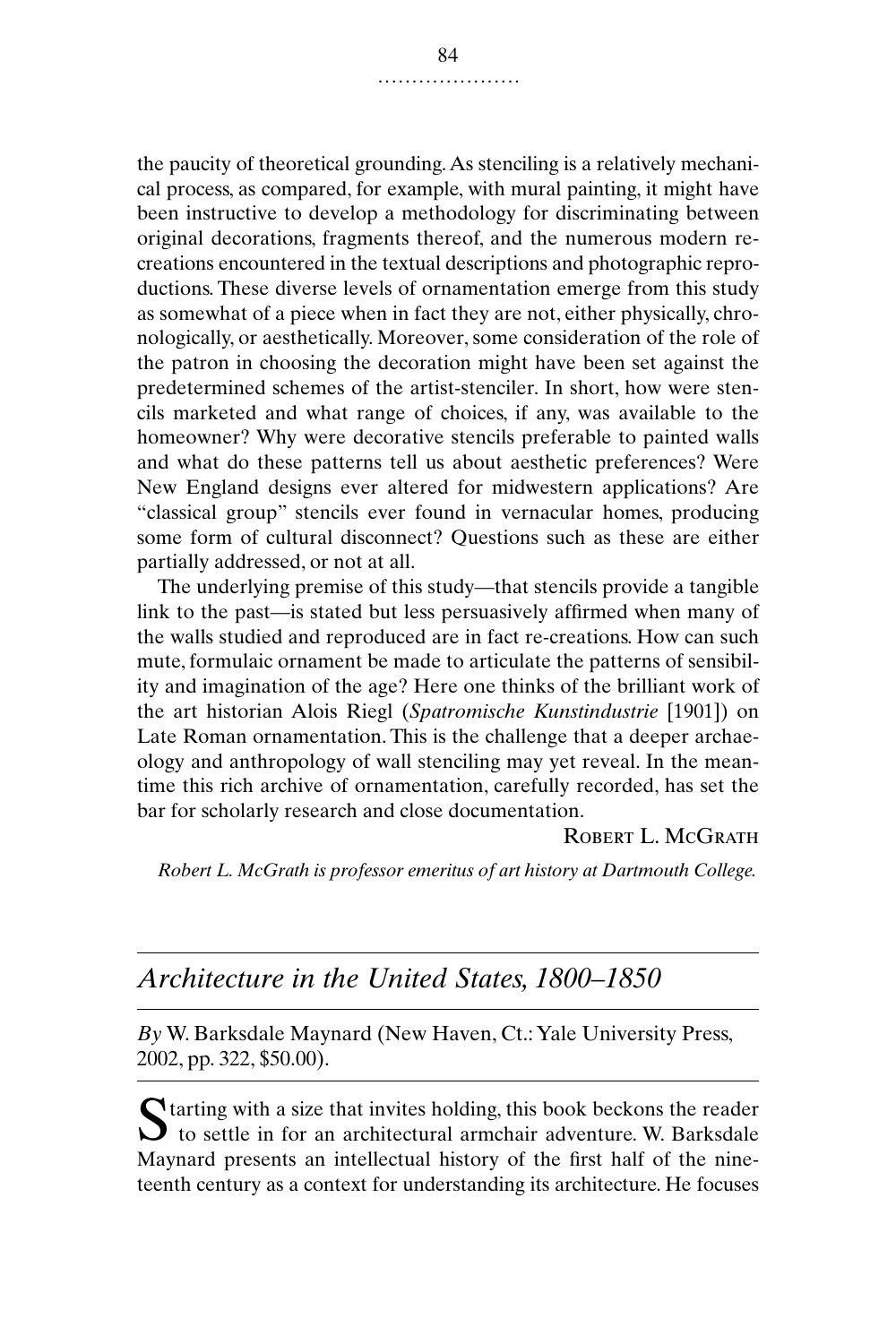the paucity of theoretical grounding. As stenciling is a relatively mechanical process, as compared, for example, with mural painting, it might have been instructive to develop a methodology for discriminating between original decorations, fragments thereof, and the numerous modern recreations encountered in the textual descriptions and photographic reproductions. These diverse levels of ornamentation emerge from this study as somewhat of a piece when in fact they are not, either physically, chronologically, or aesthetically. Moreover, some consideration of the role of the patron in choosing the decoration might have been set against the predetermined schemes of the artist-stenciler. In short, how were stencils marketed and what range of choices, if any, was available to the homeowner? Why were decorative stencils preferable to painted walls and what do these patterns tell us about aesthetic preferences? Were New England designs ever altered for midwestern applications? Are "classical group" stencils ever found in vernacular homes, producing some form of cultural disconnect? Questions such as these are either partially addressed, or not at all.

The underlying premise of this study—that stencils provide a tangible link to the past—is stated but less persuasively affirmed when many of the walls studied and reproduced are in fact re-creations. How can such mute, formulaic ornament be made to articulate the patterns of sensibility and imagination of the age? Here one thinks of the brilliant work of the art historian Alois Riegl (*Spatromische Kunstindustrie* [1901]) on Late Roman ornamentation. This is the challenge that a deeper archaeology and anthropology of wall stenciling may yet reveal. In the meantime this rich archive of ornamentation, carefully recorded, has set the bar for scholarly research and close documentation.

### ROBERT L. MCGRATH

*Robert L. McGrath is professor emeritus of art history at Dartmouth College.*

## *Architecture in the United States, 1800–1850*

*By* W. Barksdale Maynard (New Haven, Ct.: Yale University Press, 2002, pp. 322, \$50.00).

Starting with a size that invites holding, this book beckons the reader<br>to settle in for an architectural armchair adventure. W. Barksdale  $\bigcup$  to settle in for an architectural armchair adventure. W. Barksdale Maynard presents an intellectual history of the first half of the nineteenth century as a context for understanding its architecture. He focuses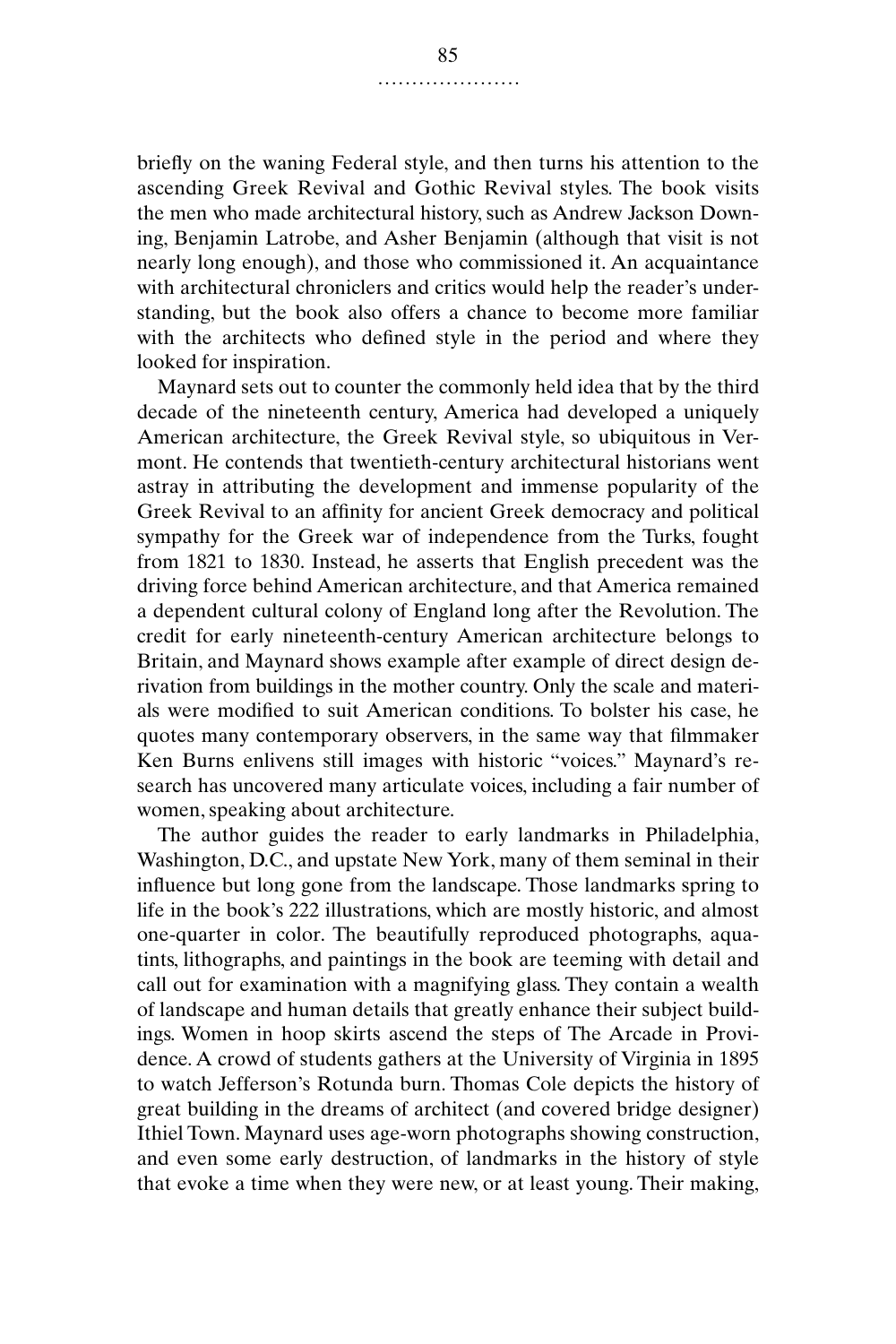briefly on the waning Federal style, and then turns his attention to the ascending Greek Revival and Gothic Revival styles. The book visits the men who made architectural history, such as Andrew Jackson Downing, Benjamin Latrobe, and Asher Benjamin (although that visit is not nearly long enough), and those who commissioned it. An acquaintance with architectural chroniclers and critics would help the reader's understanding, but the book also offers a chance to become more familiar with the architects who defined style in the period and where they looked for inspiration.

Maynard sets out to counter the commonly held idea that by the third decade of the nineteenth century, America had developed a uniquely American architecture, the Greek Revival style, so ubiquitous in Vermont. He contends that twentieth-century architectural historians went astray in attributing the development and immense popularity of the Greek Revival to an affinity for ancient Greek democracy and political sympathy for the Greek war of independence from the Turks, fought from 1821 to 1830. Instead, he asserts that English precedent was the driving force behind American architecture, and that America remained a dependent cultural colony of England long after the Revolution. The credit for early nineteenth-century American architecture belongs to Britain, and Maynard shows example after example of direct design derivation from buildings in the mother country. Only the scale and materials were modified to suit American conditions. To bolster his case, he quotes many contemporary observers, in the same way that filmmaker Ken Burns enlivens still images with historic "voices." Maynard's research has uncovered many articulate voices, including a fair number of women, speaking about architecture.

The author guides the reader to early landmarks in Philadelphia, Washington, D.C., and upstate New York, many of them seminal in their influence but long gone from the landscape. Those landmarks spring to life in the book's 222 illustrations, which are mostly historic, and almost one-quarter in color. The beautifully reproduced photographs, aquatints, lithographs, and paintings in the book are teeming with detail and call out for examination with a magnifying glass. They contain a wealth of landscape and human details that greatly enhance their subject buildings. Women in hoop skirts ascend the steps of The Arcade in Providence. A crowd of students gathers at the University of Virginia in 1895 to watch Jefferson's Rotunda burn. Thomas Cole depicts the history of great building in the dreams of architect (and covered bridge designer) Ithiel Town. Maynard uses age-worn photographs showing construction, and even some early destruction, of landmarks in the history of style that evoke a time when they were new, or at least young. Their making,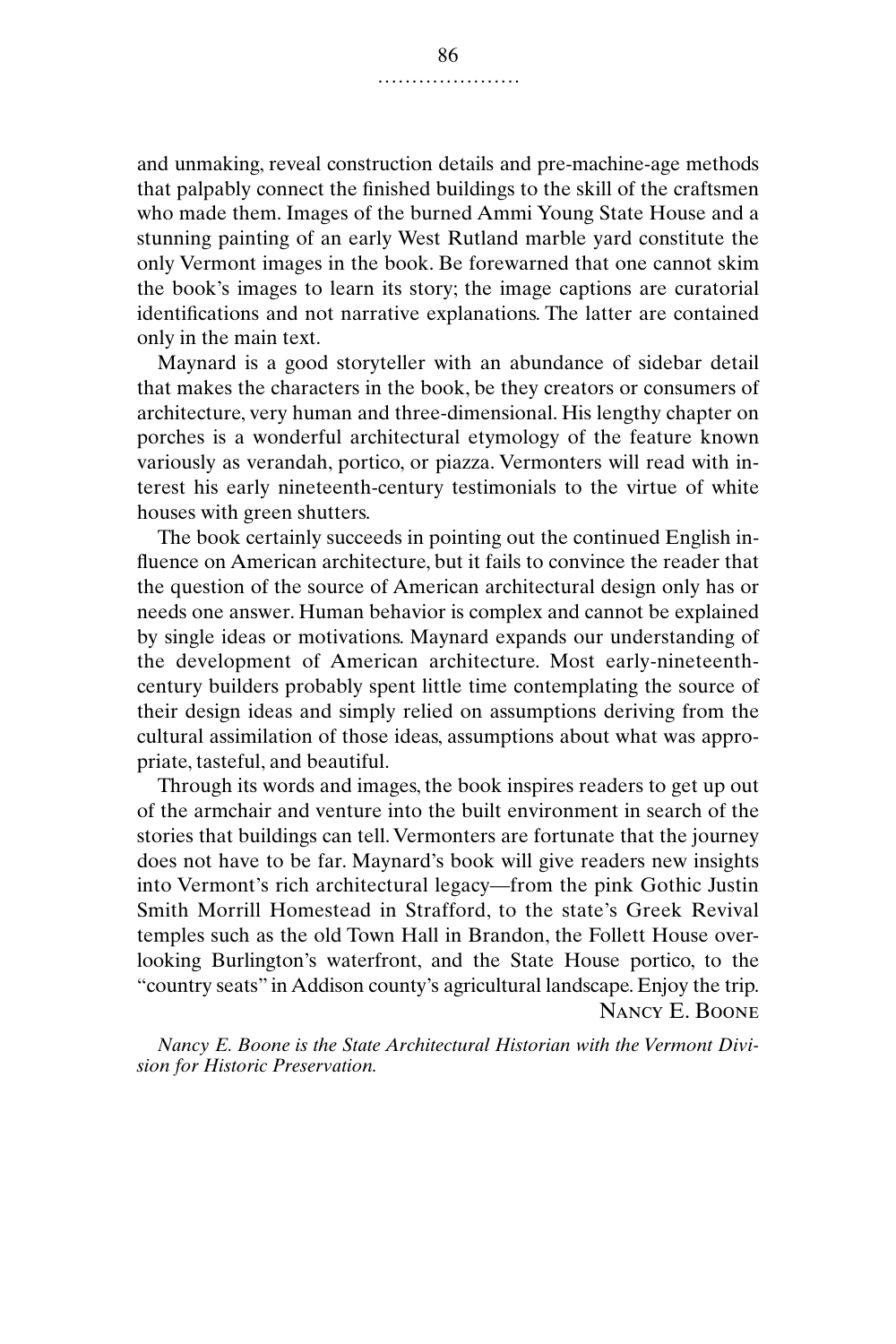and unmaking, reveal construction details and pre-machine-age methods that palpably connect the finished buildings to the skill of the craftsmen who made them. Images of the burned Ammi Young State House and a stunning painting of an early West Rutland marble yard constitute the only Vermont images in the book. Be forewarned that one cannot skim the book's images to learn its story; the image captions are curatorial identifications and not narrative explanations. The latter are contained only in the main text.

Maynard is a good storyteller with an abundance of sidebar detail that makes the characters in the book, be they creators or consumers of architecture, very human and three-dimensional. His lengthy chapter on porches is a wonderful architectural etymology of the feature known variously as verandah, portico, or piazza. Vermonters will read with interest his early nineteenth-century testimonials to the virtue of white houses with green shutters.

The book certainly succeeds in pointing out the continued English influence on American architecture, but it fails to convince the reader that the question of the source of American architectural design only has or needs one answer. Human behavior is complex and cannot be explained by single ideas or motivations. Maynard expands our understanding of the development of American architecture. Most early-nineteenthcentury builders probably spent little time contemplating the source of their design ideas and simply relied on assumptions deriving from the cultural assimilation of those ideas, assumptions about what was appropriate, tasteful, and beautiful.

Through its words and images, the book inspires readers to get up out of the armchair and venture into the built environment in search of the stories that buildings can tell. Vermonters are fortunate that the journey does not have to be far. Maynard's book will give readers new insights into Vermont's rich architectural legacy—from the pink Gothic Justin Smith Morrill Homestead in Strafford, to the state's Greek Revival temples such as the old Town Hall in Brandon, the Follett House overlooking Burlington's waterfront, and the State House portico, to the "country seats" in Addison county's agricultural landscape. Enjoy the trip. Nancy E. Boone

*Nancy E. Boone is the State Architectural Historian with the Vermont Division for Historic Preservation.*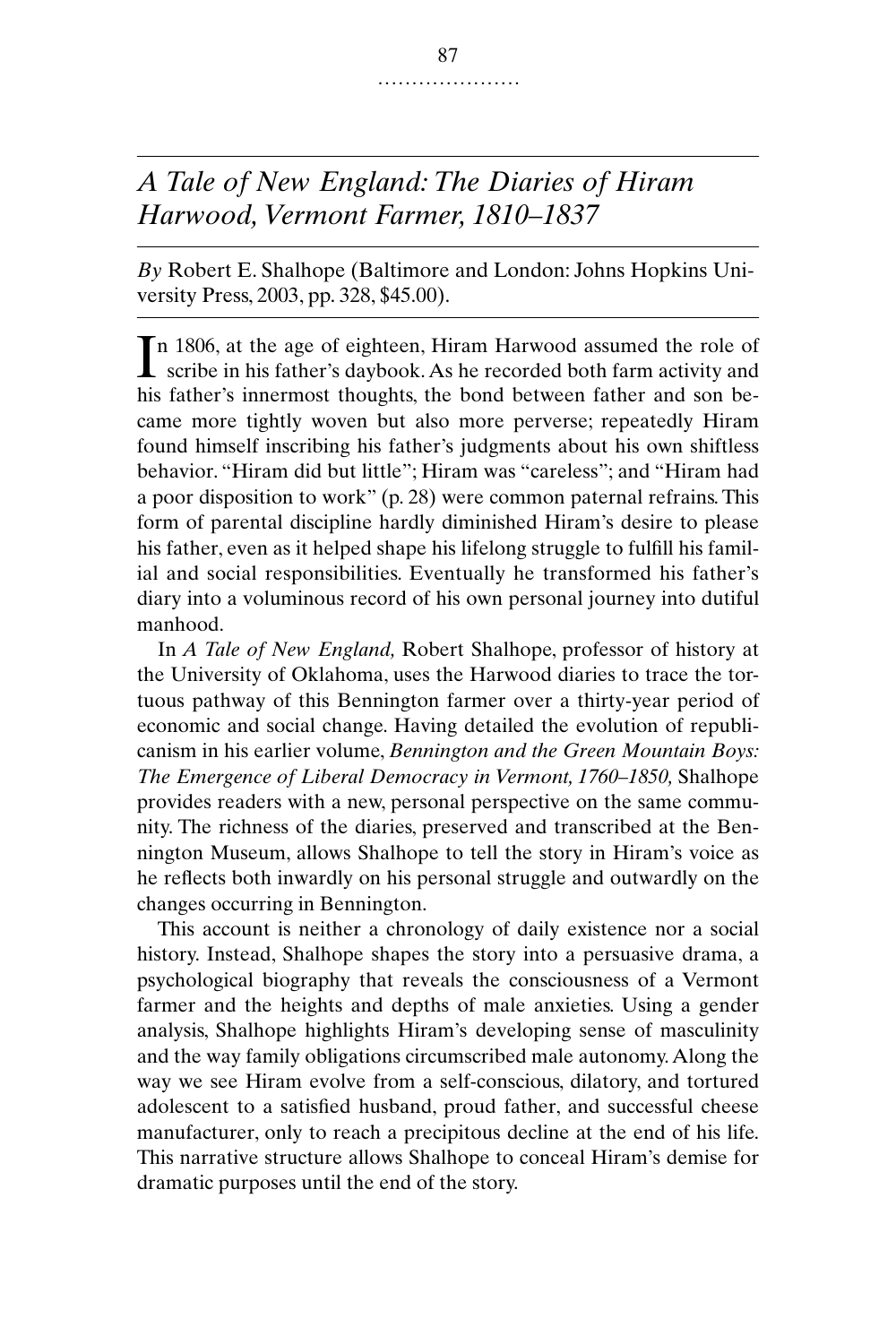# *A Tale of New England: The Diaries of Hiram Harwood, Vermont Farmer, 1810–1837*

*By* Robert E. Shalhope (Baltimore and London: Johns Hopkins University Press, 2003, pp. 328, \$45.00).

n 1806, at the age of eighteen, Hiram Harwood assumed the role of In 1806, at the age of eighteen, Hiram Harwood assumed the role of scribe in his father's daybook. As he recorded both farm activity and his father's innermost thoughts, the bond between father and son became more tightly woven but also more perverse; repeatedly Hiram found himself inscribing his father's judgments about his own shiftless behavior. "Hiram did but little"; Hiram was "careless"; and "Hiram had a poor disposition to work" (p. 28) were common paternal refrains. This form of parental discipline hardly diminished Hiram's desire to please his father, even as it helped shape his lifelong struggle to fulfill his familial and social responsibilities. Eventually he transformed his father's diary into a voluminous record of his own personal journey into dutiful manhood.

In *A Tale of New England,* Robert Shalhope, professor of history at the University of Oklahoma, uses the Harwood diaries to trace the tortuous pathway of this Bennington farmer over a thirty-year period of economic and social change. Having detailed the evolution of republicanism in his earlier volume, *Bennington and the Green Mountain Boys: The Emergence of Liberal Democracy in Vermont, 1760–1850,* Shalhope provides readers with a new, personal perspective on the same community. The richness of the diaries, preserved and transcribed at the Bennington Museum, allows Shalhope to tell the story in Hiram's voice as he reflects both inwardly on his personal struggle and outwardly on the changes occurring in Bennington.

This account is neither a chronology of daily existence nor a social history. Instead, Shalhope shapes the story into a persuasive drama, a psychological biography that reveals the consciousness of a Vermont farmer and the heights and depths of male anxieties. Using a gender analysis, Shalhope highlights Hiram's developing sense of masculinity and the way family obligations circumscribed male autonomy. Along the way we see Hiram evolve from a self-conscious, dilatory, and tortured adolescent to a satisfied husband, proud father, and successful cheese manufacturer, only to reach a precipitous decline at the end of his life. This narrative structure allows Shalhope to conceal Hiram's demise for dramatic purposes until the end of the story.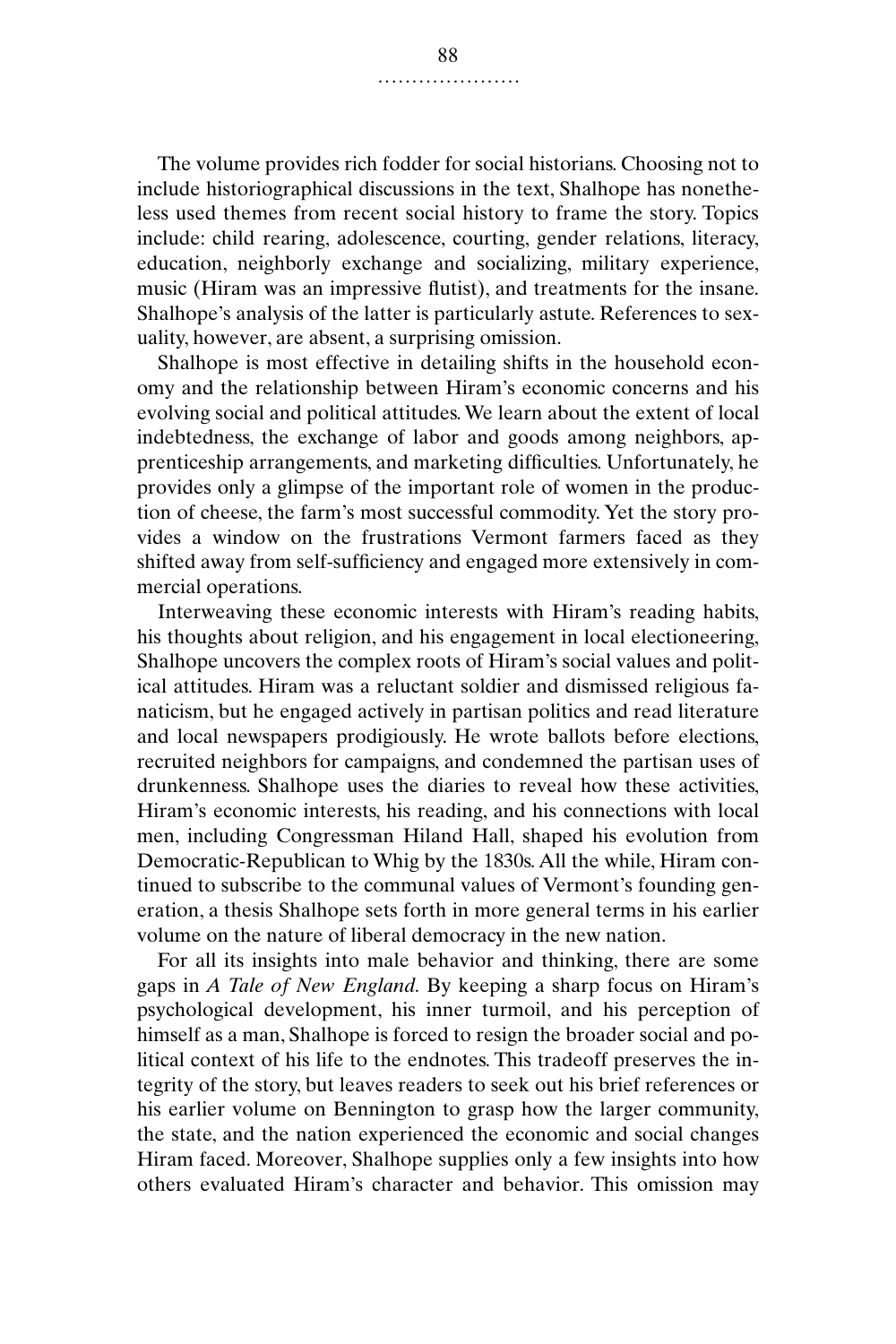The volume provides rich fodder for social historians. Choosing not to include historiographical discussions in the text, Shalhope has nonetheless used themes from recent social history to frame the story. Topics include: child rearing, adolescence, courting, gender relations, literacy, education, neighborly exchange and socializing, military experience, music (Hiram was an impressive flutist), and treatments for the insane. Shalhope's analysis of the latter is particularly astute. References to sexuality, however, are absent, a surprising omission.

Shalhope is most effective in detailing shifts in the household economy and the relationship between Hiram's economic concerns and his evolving social and political attitudes. We learn about the extent of local indebtedness, the exchange of labor and goods among neighbors, apprenticeship arrangements, and marketing difficulties. Unfortunately, he provides only a glimpse of the important role of women in the production of cheese, the farm's most successful commodity. Yet the story provides a window on the frustrations Vermont farmers faced as they shifted away from self-sufficiency and engaged more extensively in commercial operations.

Interweaving these economic interests with Hiram's reading habits, his thoughts about religion, and his engagement in local electioneering, Shalhope uncovers the complex roots of Hiram's social values and political attitudes. Hiram was a reluctant soldier and dismissed religious fanaticism, but he engaged actively in partisan politics and read literature and local newspapers prodigiously. He wrote ballots before elections, recruited neighbors for campaigns, and condemned the partisan uses of drunkenness. Shalhope uses the diaries to reveal how these activities, Hiram's economic interests, his reading, and his connections with local men, including Congressman Hiland Hall, shaped his evolution from Democratic-Republican to Whig by the 1830s. All the while, Hiram continued to subscribe to the communal values of Vermont's founding generation, a thesis Shalhope sets forth in more general terms in his earlier volume on the nature of liberal democracy in the new nation.

For all its insights into male behavior and thinking, there are some gaps in *A Tale of New England.* By keeping a sharp focus on Hiram's psychological development, his inner turmoil, and his perception of himself as a man, Shalhope is forced to resign the broader social and political context of his life to the endnotes. This tradeoff preserves the integrity of the story, but leaves readers to seek out his brief references or his earlier volume on Bennington to grasp how the larger community, the state, and the nation experienced the economic and social changes Hiram faced. Moreover, Shalhope supplies only a few insights into how others evaluated Hiram's character and behavior. This omission may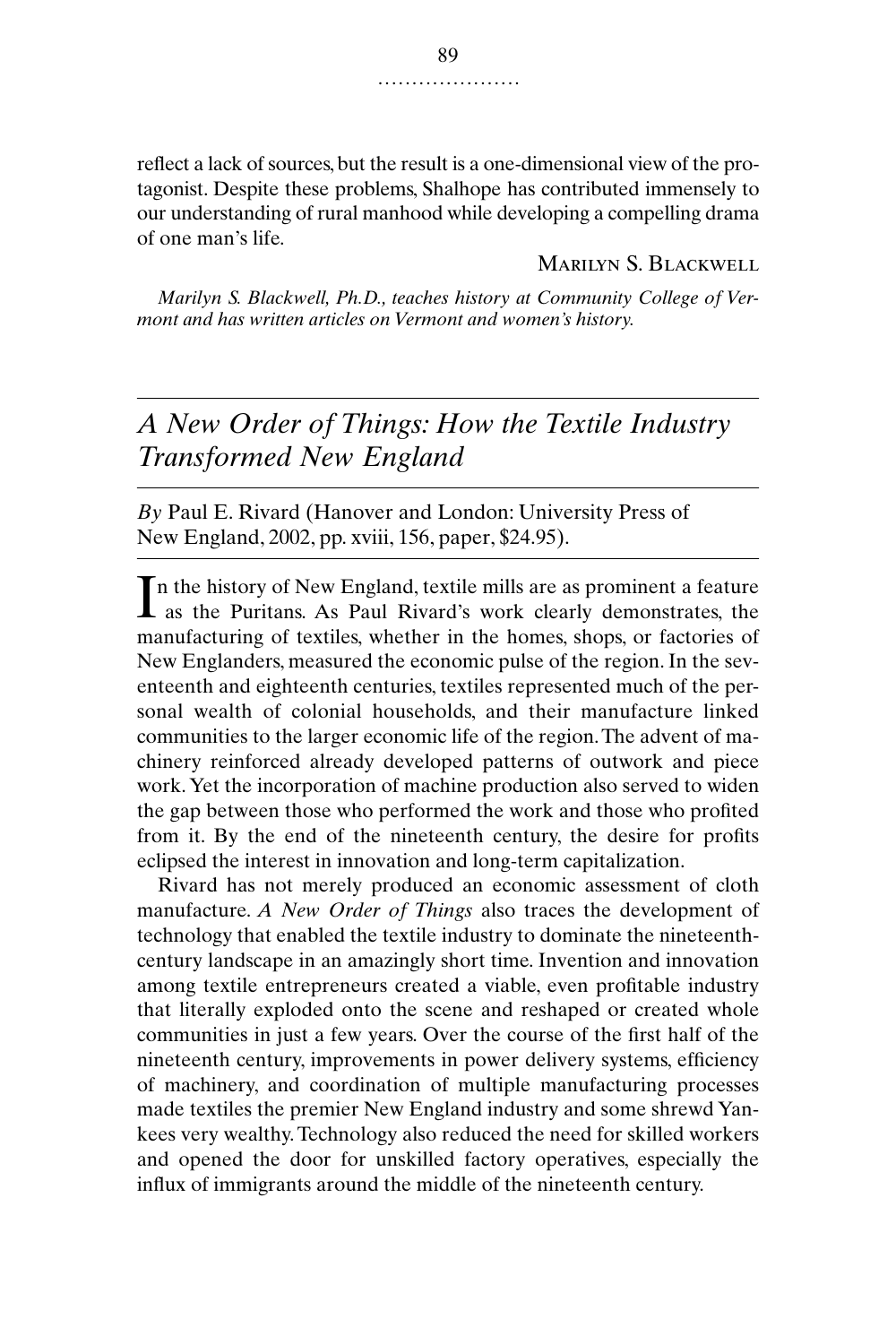reflect a lack of sources, but the result is a one-dimensional view of the protagonist. Despite these problems, Shalhope has contributed immensely to our understanding of rural manhood while developing a compelling drama of one man's life.

Marilyn S. Blackwell

*Marilyn S. Blackwell, Ph.D., teaches history at Community College of Vermont and has written articles on Vermont and women's history.*

*A New Order of Things: How the Textile Industry Transformed New England*

*By* Paul E. Rivard (Hanover and London: University Press of New England, 2002, pp. xviii, 156, paper, \$24.95).

n the history of New England, textile mills are as prominent a feature In the history of New England, textile mills are as prominent a feature as the Puritans. As Paul Rivard's work clearly demonstrates, the manufacturing of textiles, whether in the homes, shops, or factories of New Englanders, measured the economic pulse of the region. In the seventeenth and eighteenth centuries, textiles represented much of the personal wealth of colonial households, and their manufacture linked communities to the larger economic life of the region. The advent of machinery reinforced already developed patterns of outwork and piece work. Yet the incorporation of machine production also served to widen the gap between those who performed the work and those who profited from it. By the end of the nineteenth century, the desire for profits eclipsed the interest in innovation and long-term capitalization.

Rivard has not merely produced an economic assessment of cloth manufacture. *A New Order of Things* also traces the development of technology that enabled the textile industry to dominate the nineteenthcentury landscape in an amazingly short time. Invention and innovation among textile entrepreneurs created a viable, even profitable industry that literally exploded onto the scene and reshaped or created whole communities in just a few years. Over the course of the first half of the nineteenth century, improvements in power delivery systems, efficiency of machinery, and coordination of multiple manufacturing processes made textiles the premier New England industry and some shrewd Yankees very wealthy. Technology also reduced the need for skilled workers and opened the door for unskilled factory operatives, especially the influx of immigrants around the middle of the nineteenth century.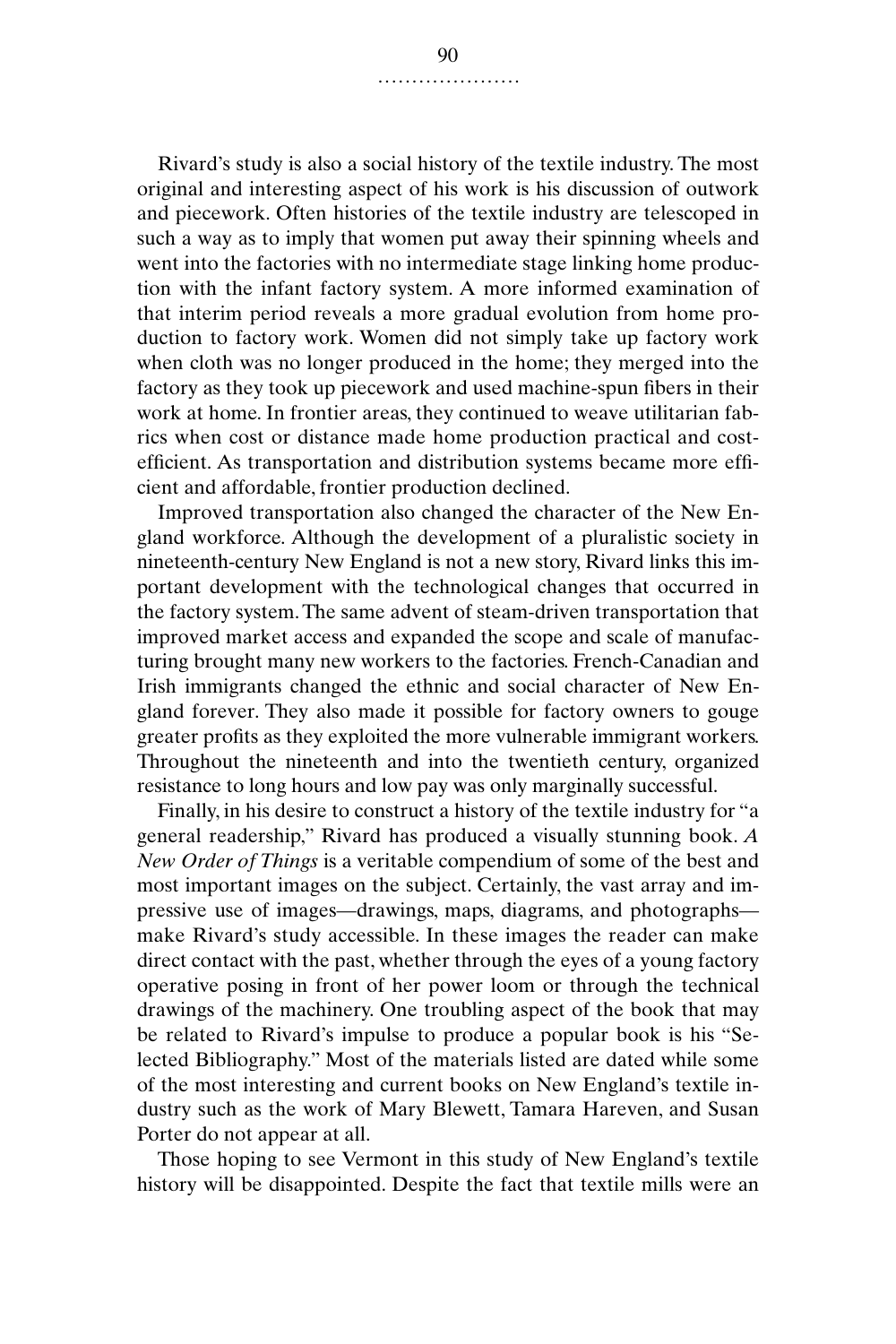Rivard's study is also a social history of the textile industry. The most original and interesting aspect of his work is his discussion of outwork and piecework. Often histories of the textile industry are telescoped in such a way as to imply that women put away their spinning wheels and went into the factories with no intermediate stage linking home production with the infant factory system. A more informed examination of that interim period reveals a more gradual evolution from home production to factory work. Women did not simply take up factory work when cloth was no longer produced in the home; they merged into the factory as they took up piecework and used machine-spun fibers in their work at home. In frontier areas, they continued to weave utilitarian fabrics when cost or distance made home production practical and costefficient. As transportation and distribution systems became more efficient and affordable, frontier production declined.

Improved transportation also changed the character of the New England workforce. Although the development of a pluralistic society in nineteenth-century New England is not a new story, Rivard links this important development with the technological changes that occurred in the factory system. The same advent of steam-driven transportation that improved market access and expanded the scope and scale of manufacturing brought many new workers to the factories. French-Canadian and Irish immigrants changed the ethnic and social character of New England forever. They also made it possible for factory owners to gouge greater profits as they exploited the more vulnerable immigrant workers. Throughout the nineteenth and into the twentieth century, organized resistance to long hours and low pay was only marginally successful.

Finally, in his desire to construct a history of the textile industry for "a general readership," Rivard has produced a visually stunning book. *A New Order of Things* is a veritable compendium of some of the best and most important images on the subject. Certainly, the vast array and impressive use of images—drawings, maps, diagrams, and photographs make Rivard's study accessible. In these images the reader can make direct contact with the past, whether through the eyes of a young factory operative posing in front of her power loom or through the technical drawings of the machinery. One troubling aspect of the book that may be related to Rivard's impulse to produce a popular book is his "Selected Bibliography." Most of the materials listed are dated while some of the most interesting and current books on New England's textile industry such as the work of Mary Blewett, Tamara Hareven, and Susan Porter do not appear at all.

Those hoping to see Vermont in this study of New England's textile history will be disappointed. Despite the fact that textile mills were an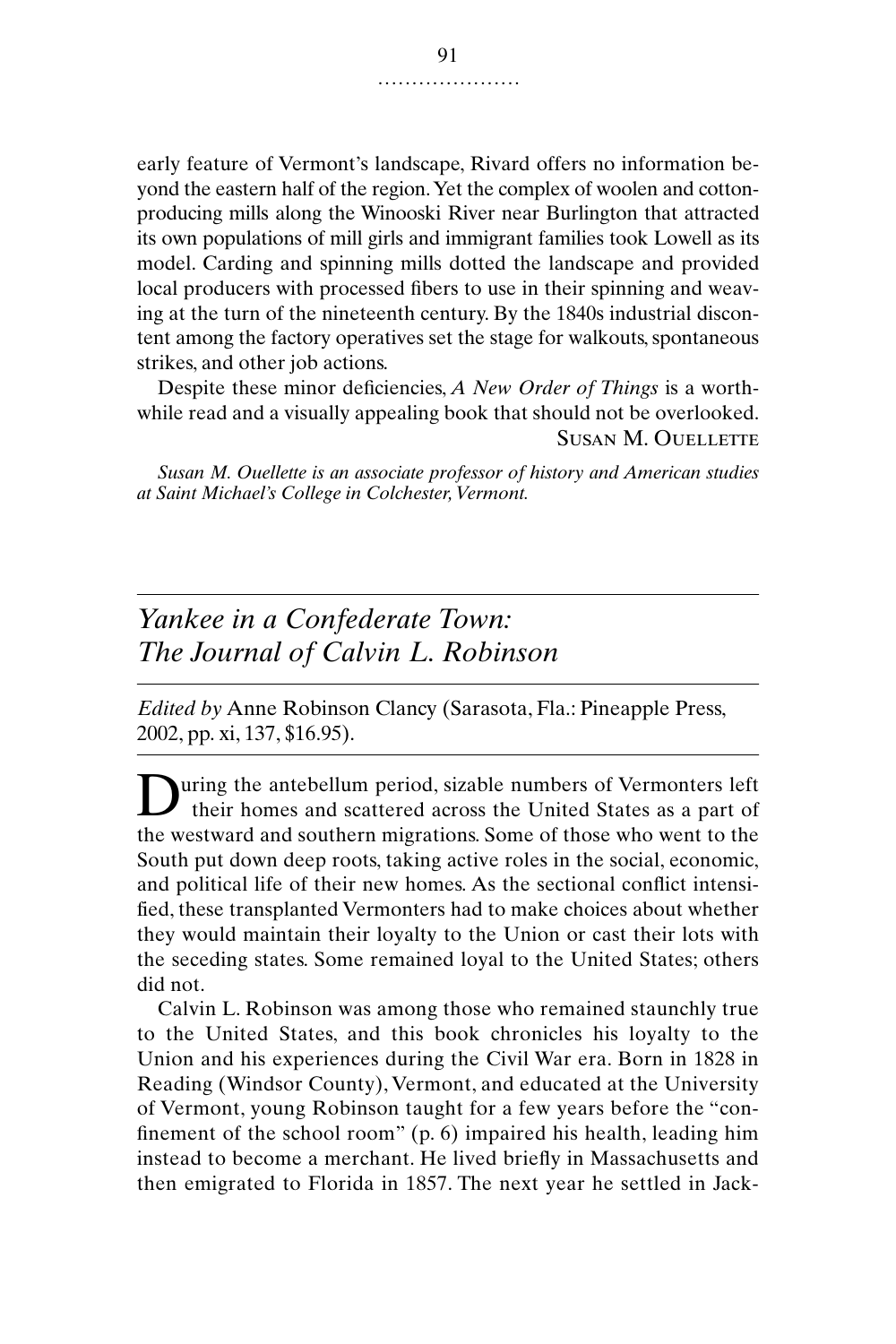early feature of Vermont's landscape, Rivard offers no information beyond the eastern half of the region. Yet the complex of woolen and cottonproducing mills along the Winooski River near Burlington that attracted its own populations of mill girls and immigrant families took Lowell as its model. Carding and spinning mills dotted the landscape and provided local producers with processed fibers to use in their spinning and weaving at the turn of the nineteenth century. By the 1840s industrial discontent among the factory operatives set the stage for walkouts, spontaneous strikes, and other job actions.

Despite these minor deficiencies, *A New Order of Things* is a worthwhile read and a visually appealing book that should not be overlooked. Susan M. Ouellette

*Susan M. Ouellette is an associate professor of history and American studies at Saint Michael's College in Colchester, Vermont.*

# *Yankee in a Confederate Town: The Journal of Calvin L. Robinson*

*Edited by* Anne Robinson Clancy (Sarasota, Fla.: Pineapple Press, 2002, pp. xi, 137, \$16.95).

uring the antebellum period, sizable numbers of Vermonters left their homes and scattered across the United States as a part of During the antebellum period, sizable numbers of Vermonters left<br>their homes and scattered across the United States as a part of<br>the westward and southern migrations. Some of those who went to the South put down deep roots, taking active roles in the social, economic, and political life of their new homes. As the sectional conflict intensified, these transplanted Vermonters had to make choices about whether they would maintain their loyalty to the Union or cast their lots with the seceding states. Some remained loyal to the United States; others did not.

Calvin L. Robinson was among those who remained staunchly true to the United States, and this book chronicles his loyalty to the Union and his experiences during the Civil War era. Born in 1828 in Reading (Windsor County), Vermont, and educated at the University of Vermont, young Robinson taught for a few years before the "confinement of the school room" (p. 6) impaired his health, leading him instead to become a merchant. He lived briefly in Massachusetts and then emigrated to Florida in 1857. The next year he settled in Jack-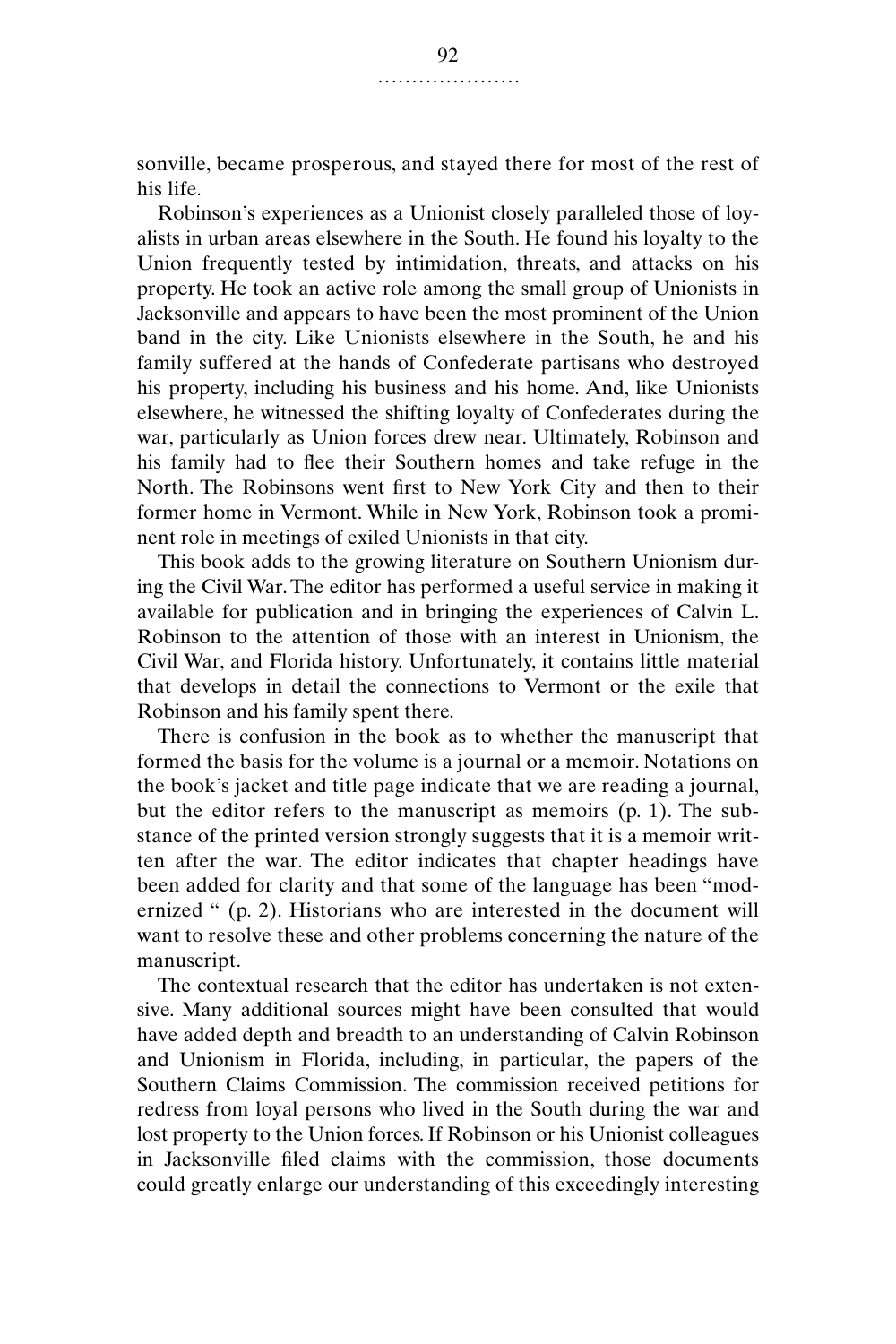sonville, became prosperous, and stayed there for most of the rest of his life.

Robinson's experiences as a Unionist closely paralleled those of loyalists in urban areas elsewhere in the South. He found his loyalty to the Union frequently tested by intimidation, threats, and attacks on his property. He took an active role among the small group of Unionists in Jacksonville and appears to have been the most prominent of the Union band in the city. Like Unionists elsewhere in the South, he and his family suffered at the hands of Confederate partisans who destroyed his property, including his business and his home. And, like Unionists elsewhere, he witnessed the shifting loyalty of Confederates during the war, particularly as Union forces drew near. Ultimately, Robinson and his family had to flee their Southern homes and take refuge in the North. The Robinsons went first to New York City and then to their former home in Vermont. While in New York, Robinson took a prominent role in meetings of exiled Unionists in that city.

This book adds to the growing literature on Southern Unionism during the Civil War. The editor has performed a useful service in making it available for publication and in bringing the experiences of Calvin L. Robinson to the attention of those with an interest in Unionism, the Civil War, and Florida history. Unfortunately, it contains little material that develops in detail the connections to Vermont or the exile that Robinson and his family spent there.

There is confusion in the book as to whether the manuscript that formed the basis for the volume is a journal or a memoir. Notations on the book's jacket and title page indicate that we are reading a journal, but the editor refers to the manuscript as memoirs (p. 1). The substance of the printed version strongly suggests that it is a memoir written after the war. The editor indicates that chapter headings have been added for clarity and that some of the language has been "modernized " (p. 2). Historians who are interested in the document will want to resolve these and other problems concerning the nature of the manuscript.

The contextual research that the editor has undertaken is not extensive. Many additional sources might have been consulted that would have added depth and breadth to an understanding of Calvin Robinson and Unionism in Florida, including, in particular, the papers of the Southern Claims Commission. The commission received petitions for redress from loyal persons who lived in the South during the war and lost property to the Union forces. If Robinson or his Unionist colleagues in Jacksonville filed claims with the commission, those documents could greatly enlarge our understanding of this exceedingly interesting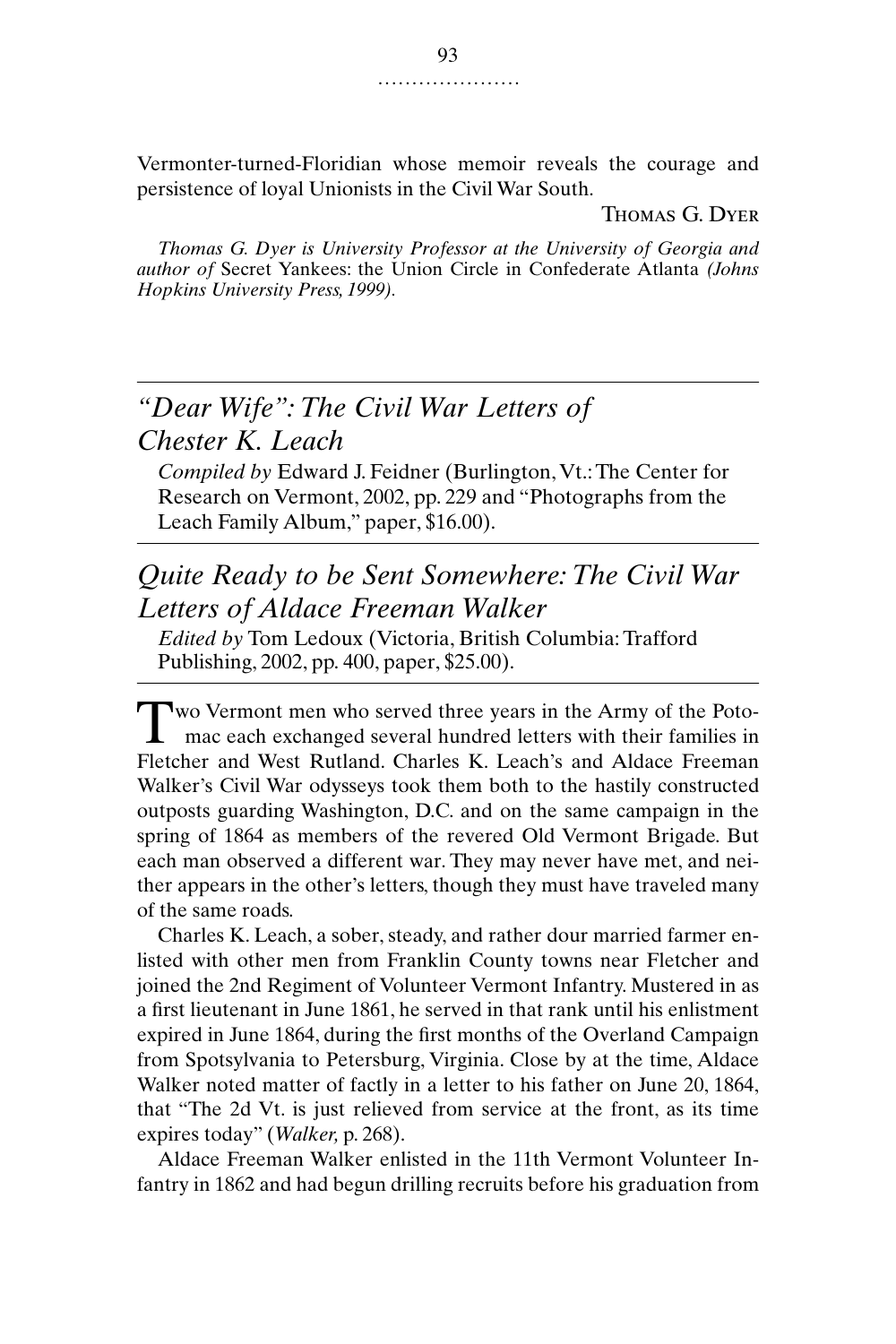Vermonter-turned-Floridian whose memoir reveals the courage and persistence of loyal Unionists in the Civil War South.

Thomas G. Dyer

*Thomas G. Dyer is University Professor at the University of Georgia and author of* Secret Yankees: the Union Circle in Confederate Atlanta *(Johns Hopkins University Press, 1999).*

# *"Dear Wife": The Civil War Letters of Chester K. Leach*

*Compiled by* Edward J. Feidner (Burlington, Vt.: The Center for Research on Vermont, 2002, pp. 229 and "Photographs from the Leach Family Album," paper, \$16.00).

## *Quite Ready to be Sent Somewhere: The Civil War Letters of Aldace Freeman Walker*

*Edited by* Tom Ledoux (Victoria, British Columbia: Trafford Publishing, 2002, pp. 400, paper, \$25.00).

Two Vermont men who served three years in the Army of the Poto-<br>mac each exchanged several hundred letters with their families in mac each exchanged several hundred letters with their families in Fletcher and West Rutland. Charles K. Leach's and Aldace Freeman Walker's Civil War odysseys took them both to the hastily constructed outposts guarding Washington, D.C. and on the same campaign in the spring of 1864 as members of the revered Old Vermont Brigade. But each man observed a different war. They may never have met, and neither appears in the other's letters, though they must have traveled many of the same roads.

Charles K. Leach, a sober, steady, and rather dour married farmer enlisted with other men from Franklin County towns near Fletcher and joined the 2nd Regiment of Volunteer Vermont Infantry. Mustered in as a first lieutenant in June 1861, he served in that rank until his enlistment expired in June 1864, during the first months of the Overland Campaign from Spotsylvania to Petersburg, Virginia. Close by at the time, Aldace Walker noted matter of factly in a letter to his father on June 20, 1864, that "The 2d Vt. is just relieved from service at the front, as its time expires today" (*Walker,* p. 268).

Aldace Freeman Walker enlisted in the 11th Vermont Volunteer Infantry in 1862 and had begun drilling recruits before his graduation from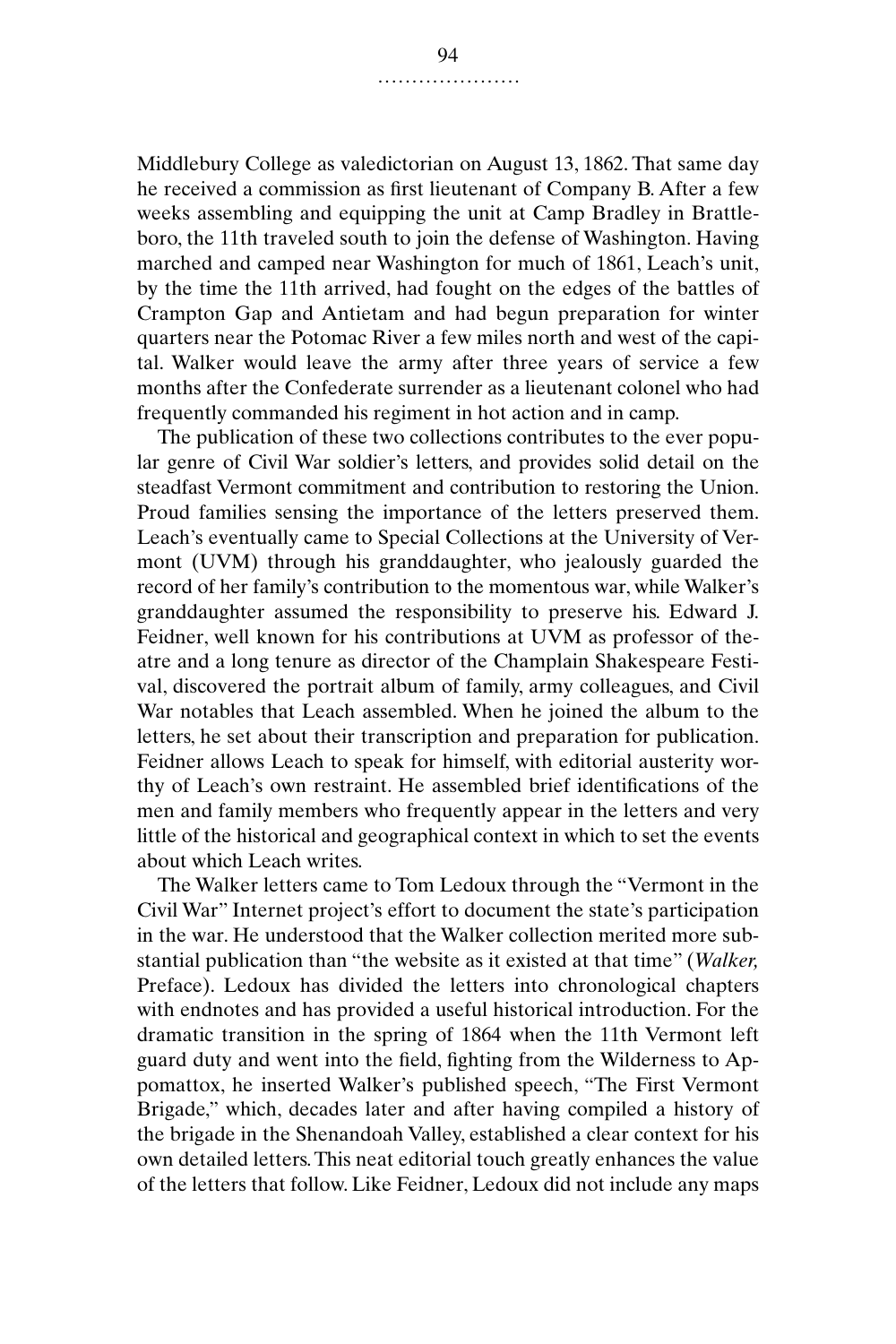Middlebury College as valedictorian on August 13, 1862. That same day he received a commission as first lieutenant of Company B. After a few weeks assembling and equipping the unit at Camp Bradley in Brattleboro, the 11th traveled south to join the defense of Washington. Having marched and camped near Washington for much of 1861, Leach's unit, by the time the 11th arrived, had fought on the edges of the battles of Crampton Gap and Antietam and had begun preparation for winter quarters near the Potomac River a few miles north and west of the capital. Walker would leave the army after three years of service a few months after the Confederate surrender as a lieutenant colonel who had frequently commanded his regiment in hot action and in camp.

The publication of these two collections contributes to the ever popular genre of Civil War soldier's letters, and provides solid detail on the steadfast Vermont commitment and contribution to restoring the Union. Proud families sensing the importance of the letters preserved them. Leach's eventually came to Special Collections at the University of Vermont (UVM) through his granddaughter, who jealously guarded the record of her family's contribution to the momentous war, while Walker's granddaughter assumed the responsibility to preserve his. Edward J. Feidner, well known for his contributions at UVM as professor of theatre and a long tenure as director of the Champlain Shakespeare Festival, discovered the portrait album of family, army colleagues, and Civil War notables that Leach assembled. When he joined the album to the letters, he set about their transcription and preparation for publication. Feidner allows Leach to speak for himself, with editorial austerity worthy of Leach's own restraint. He assembled brief identifications of the men and family members who frequently appear in the letters and very little of the historical and geographical context in which to set the events about which Leach writes.

The Walker letters came to Tom Ledoux through the "Vermont in the Civil War" Internet project's effort to document the state's participation in the war. He understood that the Walker collection merited more substantial publication than "the website as it existed at that time" (*Walker,* Preface). Ledoux has divided the letters into chronological chapters with endnotes and has provided a useful historical introduction. For the dramatic transition in the spring of 1864 when the 11th Vermont left guard duty and went into the field, fighting from the Wilderness to Appomattox, he inserted Walker's published speech, "The First Vermont Brigade," which, decades later and after having compiled a history of the brigade in the Shenandoah Valley, established a clear context for his own detailed letters. This neat editorial touch greatly enhances the value of the letters that follow. Like Feidner, Ledoux did not include any maps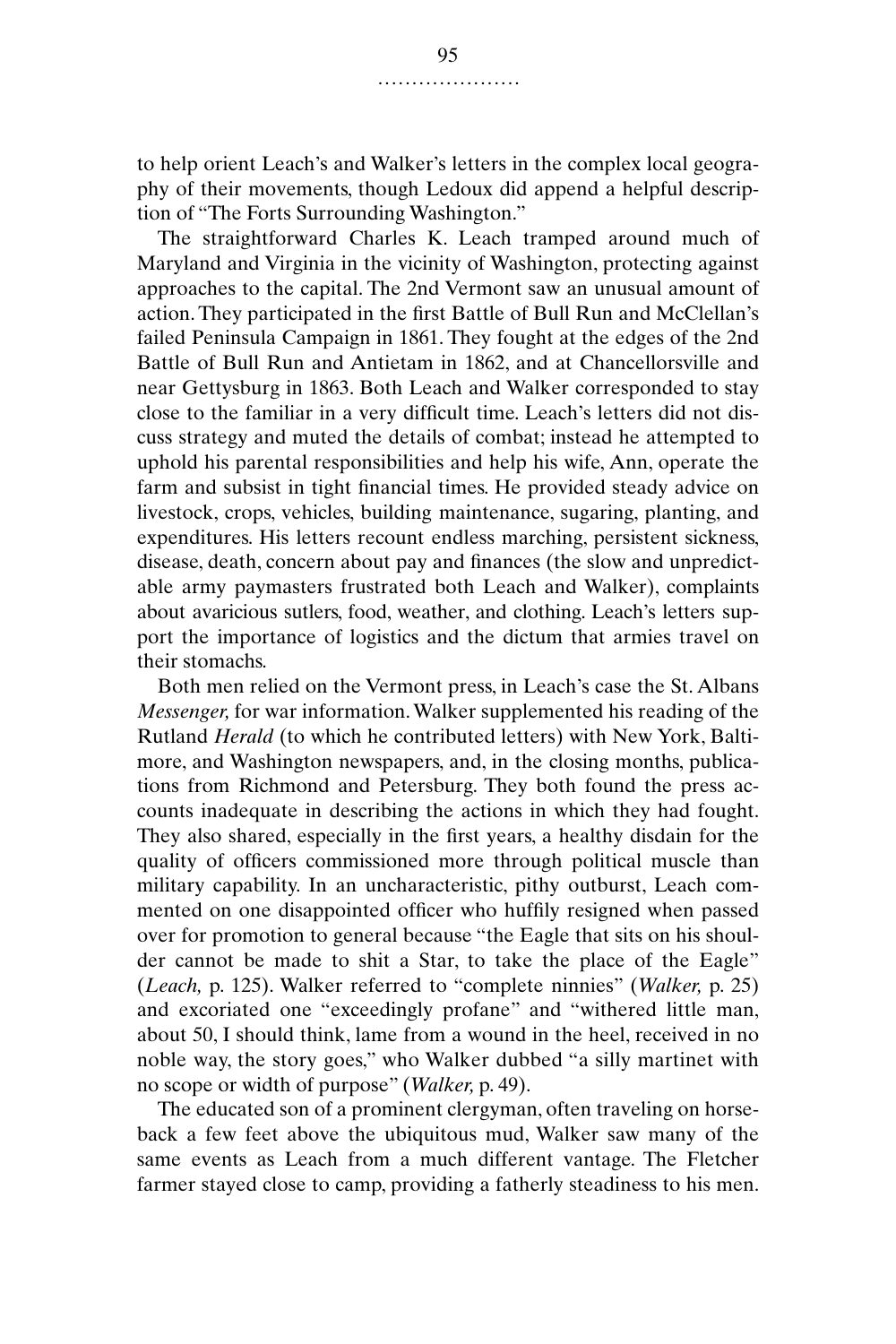to help orient Leach's and Walker's letters in the complex local geography of their movements, though Ledoux did append a helpful description of "The Forts Surrounding Washington."

The straightforward Charles K. Leach tramped around much of Maryland and Virginia in the vicinity of Washington, protecting against approaches to the capital. The 2nd Vermont saw an unusual amount of action. They participated in the first Battle of Bull Run and McClellan's failed Peninsula Campaign in 1861. They fought at the edges of the 2nd Battle of Bull Run and Antietam in 1862, and at Chancellorsville and near Gettysburg in 1863. Both Leach and Walker corresponded to stay close to the familiar in a very difficult time. Leach's letters did not discuss strategy and muted the details of combat; instead he attempted to uphold his parental responsibilities and help his wife, Ann, operate the farm and subsist in tight financial times. He provided steady advice on livestock, crops, vehicles, building maintenance, sugaring, planting, and expenditures. His letters recount endless marching, persistent sickness, disease, death, concern about pay and finances (the slow and unpredictable army paymasters frustrated both Leach and Walker), complaints about avaricious sutlers, food, weather, and clothing. Leach's letters support the importance of logistics and the dictum that armies travel on their stomachs.

Both men relied on the Vermont press, in Leach's case the St. Albans *Messenger,* for war information. Walker supplemented his reading of the Rutland *Herald* (to which he contributed letters) with New York, Baltimore, and Washington newspapers, and, in the closing months, publications from Richmond and Petersburg. They both found the press accounts inadequate in describing the actions in which they had fought. They also shared, especially in the first years, a healthy disdain for the quality of officers commissioned more through political muscle than military capability. In an uncharacteristic, pithy outburst, Leach commented on one disappointed officer who huffily resigned when passed over for promotion to general because "the Eagle that sits on his shoulder cannot be made to shit a Star, to take the place of the Eagle" (*Leach,* p. 125). Walker referred to "complete ninnies" (*Walker,* p. 25) and excoriated one "exceedingly profane" and "withered little man, about 50, I should think, lame from a wound in the heel, received in no noble way, the story goes," who Walker dubbed "a silly martinet with no scope or width of purpose" (*Walker,* p. 49).

The educated son of a prominent clergyman, often traveling on horseback a few feet above the ubiquitous mud, Walker saw many of the same events as Leach from a much different vantage. The Fletcher farmer stayed close to camp, providing a fatherly steadiness to his men.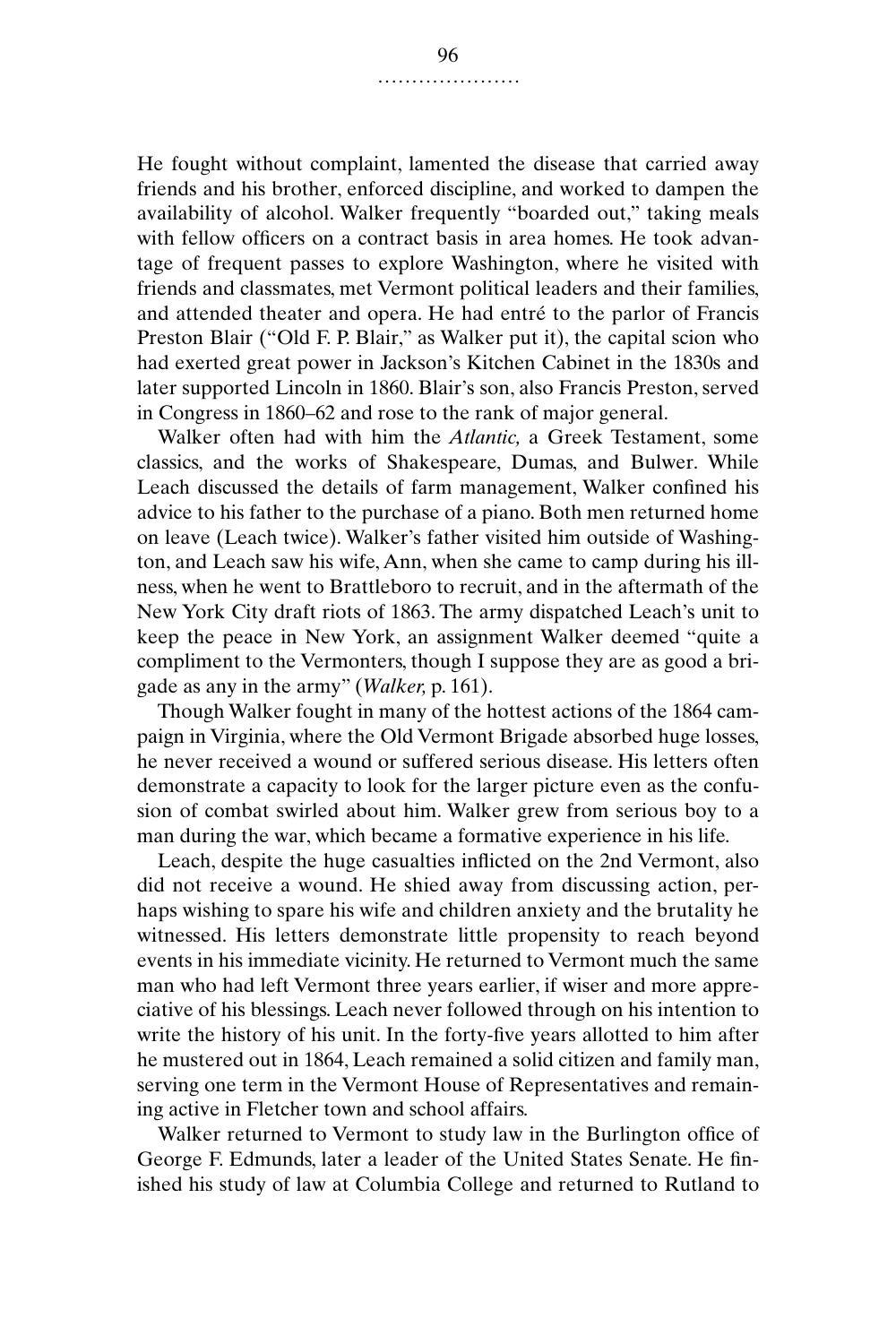He fought without complaint, lamented the disease that carried away friends and his brother, enforced discipline, and worked to dampen the availability of alcohol. Walker frequently "boarded out," taking meals with fellow officers on a contract basis in area homes. He took advantage of frequent passes to explore Washington, where he visited with friends and classmates, met Vermont political leaders and their families, and attended theater and opera. He had entré to the parlor of Francis Preston Blair ("Old F. P. Blair," as Walker put it), the capital scion who had exerted great power in Jackson's Kitchen Cabinet in the 1830s and later supported Lincoln in 1860. Blair's son, also Francis Preston, served in Congress in 1860–62 and rose to the rank of major general.

Walker often had with him the *Atlantic,* a Greek Testament, some classics, and the works of Shakespeare, Dumas, and Bulwer. While Leach discussed the details of farm management, Walker confined his advice to his father to the purchase of a piano. Both men returned home on leave (Leach twice). Walker's father visited him outside of Washington, and Leach saw his wife, Ann, when she came to camp during his illness, when he went to Brattleboro to recruit, and in the aftermath of the New York City draft riots of 1863. The army dispatched Leach's unit to keep the peace in New York, an assignment Walker deemed "quite a compliment to the Vermonters, though I suppose they are as good a brigade as any in the army" (*Walker,* p. 161).

Though Walker fought in many of the hottest actions of the 1864 campaign in Virginia, where the Old Vermont Brigade absorbed huge losses, he never received a wound or suffered serious disease. His letters often demonstrate a capacity to look for the larger picture even as the confusion of combat swirled about him. Walker grew from serious boy to a man during the war, which became a formative experience in his life.

Leach, despite the huge casualties inflicted on the 2nd Vermont, also did not receive a wound. He shied away from discussing action, perhaps wishing to spare his wife and children anxiety and the brutality he witnessed. His letters demonstrate little propensity to reach beyond events in his immediate vicinity. He returned to Vermont much the same man who had left Vermont three years earlier, if wiser and more appreciative of his blessings. Leach never followed through on his intention to write the history of his unit. In the forty-five years allotted to him after he mustered out in 1864, Leach remained a solid citizen and family man, serving one term in the Vermont House of Representatives and remaining active in Fletcher town and school affairs.

Walker returned to Vermont to study law in the Burlington office of George F. Edmunds, later a leader of the United States Senate. He finished his study of law at Columbia College and returned to Rutland to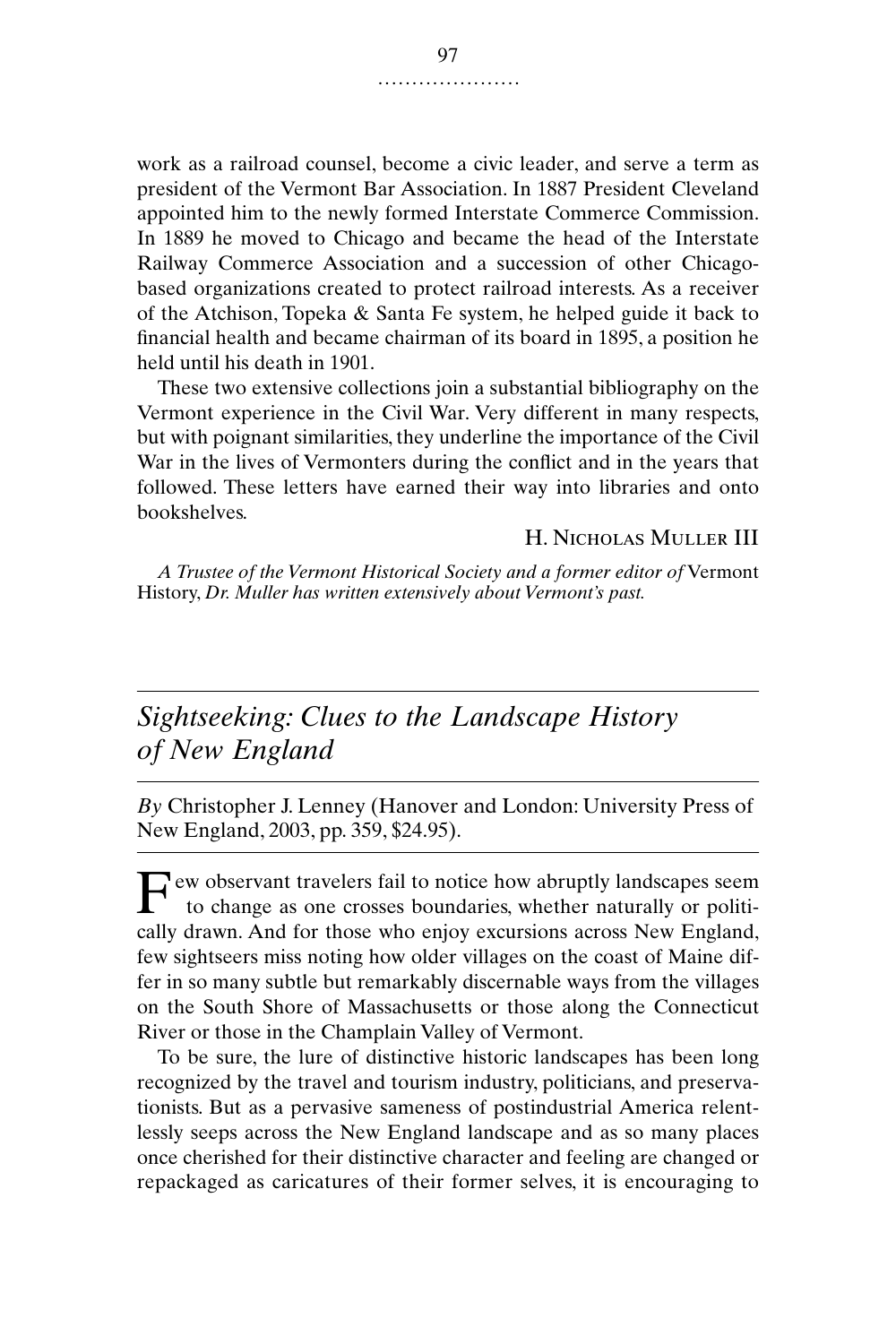work as a railroad counsel, become a civic leader, and serve a term as president of the Vermont Bar Association. In 1887 President Cleveland appointed him to the newly formed Interstate Commerce Commission. In 1889 he moved to Chicago and became the head of the Interstate Railway Commerce Association and a succession of other Chicagobased organizations created to protect railroad interests. As a receiver of the Atchison, Topeka & Santa Fe system, he helped guide it back to financial health and became chairman of its board in 1895, a position he held until his death in 1901.

These two extensive collections join a substantial bibliography on the Vermont experience in the Civil War. Very different in many respects, but with poignant similarities, they underline the importance of the Civil War in the lives of Vermonters during the conflict and in the years that followed. These letters have earned their way into libraries and onto bookshelves.

H. Nicholas Muller III

*A Trustee of the Vermont Historical Society and a former editor of* Vermont History, *Dr. Muller has written extensively about Vermont's past.*

## *Sightseeking: Clues to the Landscape History of New England*

*By* Christopher J. Lenney (Hanover and London: University Press of New England, 2003, pp. 359, \$24.95).

Few observant travelers fail to notice how abruptly landscapes seem<br>to change as one crosses boundaries, whether naturally or politito change as one crosses boundaries, whether naturally or politically drawn. And for those who enjoy excursions across New England, few sightseers miss noting how older villages on the coast of Maine differ in so many subtle but remarkably discernable ways from the villages on the South Shore of Massachusetts or those along the Connecticut River or those in the Champlain Valley of Vermont.

To be sure, the lure of distinctive historic landscapes has been long recognized by the travel and tourism industry, politicians, and preservationists. But as a pervasive sameness of postindustrial America relentlessly seeps across the New England landscape and as so many places once cherished for their distinctive character and feeling are changed or repackaged as caricatures of their former selves, it is encouraging to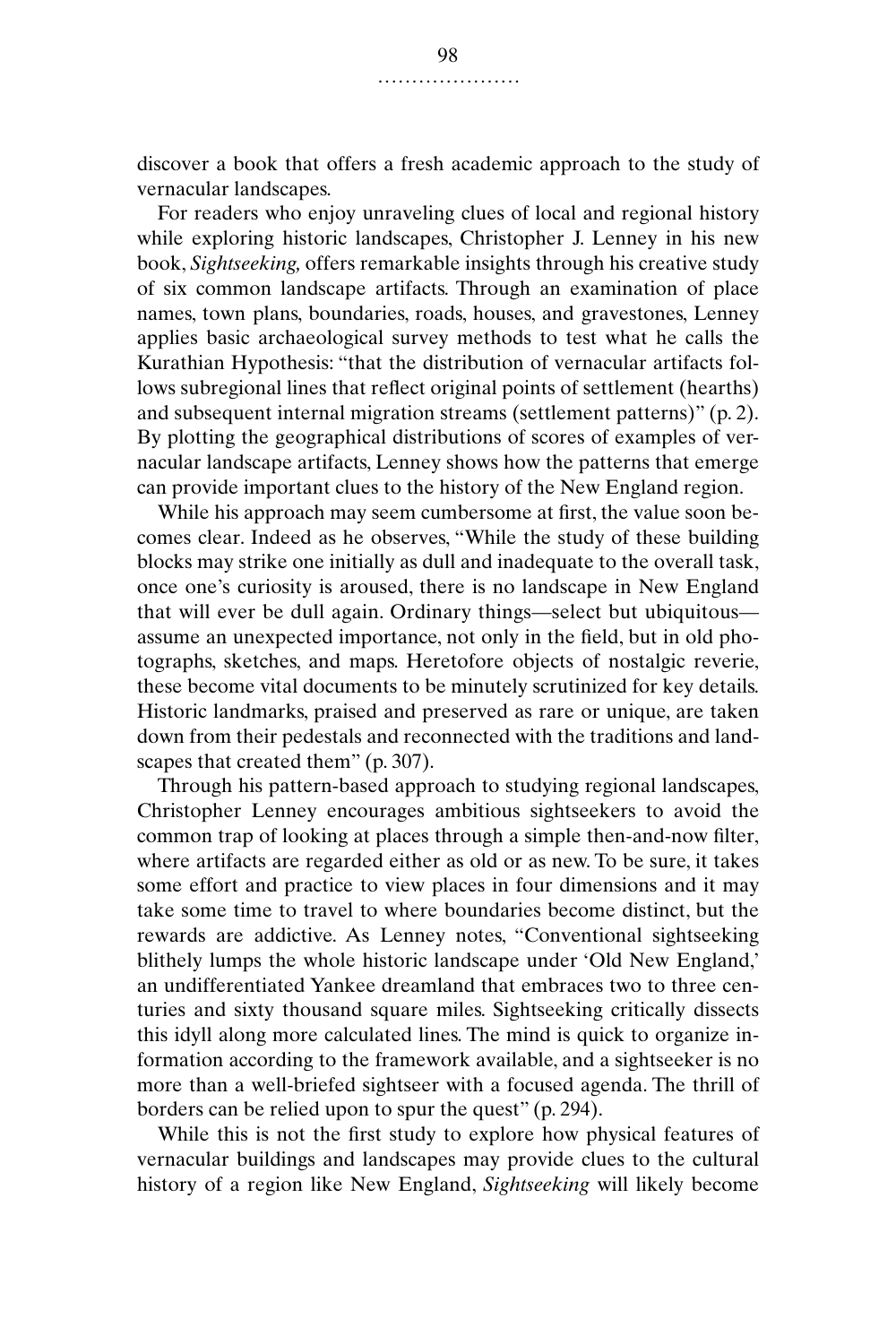discover a book that offers a fresh academic approach to the study of vernacular landscapes.

For readers who enjoy unraveling clues of local and regional history while exploring historic landscapes, Christopher J. Lenney in his new book, *Sightseeking,* offers remarkable insights through his creative study of six common landscape artifacts. Through an examination of place names, town plans, boundaries, roads, houses, and gravestones, Lenney applies basic archaeological survey methods to test what he calls the Kurathian Hypothesis: "that the distribution of vernacular artifacts follows subregional lines that reflect original points of settlement (hearths) and subsequent internal migration streams (settlement patterns)" (p. 2). By plotting the geographical distributions of scores of examples of vernacular landscape artifacts, Lenney shows how the patterns that emerge can provide important clues to the history of the New England region.

While his approach may seem cumbersome at first, the value soon becomes clear. Indeed as he observes, "While the study of these building blocks may strike one initially as dull and inadequate to the overall task, once one's curiosity is aroused, there is no landscape in New England that will ever be dull again. Ordinary things—select but ubiquitous assume an unexpected importance, not only in the field, but in old photographs, sketches, and maps. Heretofore objects of nostalgic reverie, these become vital documents to be minutely scrutinized for key details. Historic landmarks, praised and preserved as rare or unique, are taken down from their pedestals and reconnected with the traditions and landscapes that created them" (p. 307).

Through his pattern-based approach to studying regional landscapes, Christopher Lenney encourages ambitious sightseekers to avoid the common trap of looking at places through a simple then-and-now filter, where artifacts are regarded either as old or as new. To be sure, it takes some effort and practice to view places in four dimensions and it may take some time to travel to where boundaries become distinct, but the rewards are addictive. As Lenney notes, "Conventional sightseeking blithely lumps the whole historic landscape under 'Old New England,' an undifferentiated Yankee dreamland that embraces two to three centuries and sixty thousand square miles. Sightseeking critically dissects this idyll along more calculated lines. The mind is quick to organize information according to the framework available, and a sightseeker is no more than a well-briefed sightseer with a focused agenda. The thrill of borders can be relied upon to spur the quest" (p. 294).

While this is not the first study to explore how physical features of vernacular buildings and landscapes may provide clues to the cultural history of a region like New England, *Sightseeking* will likely become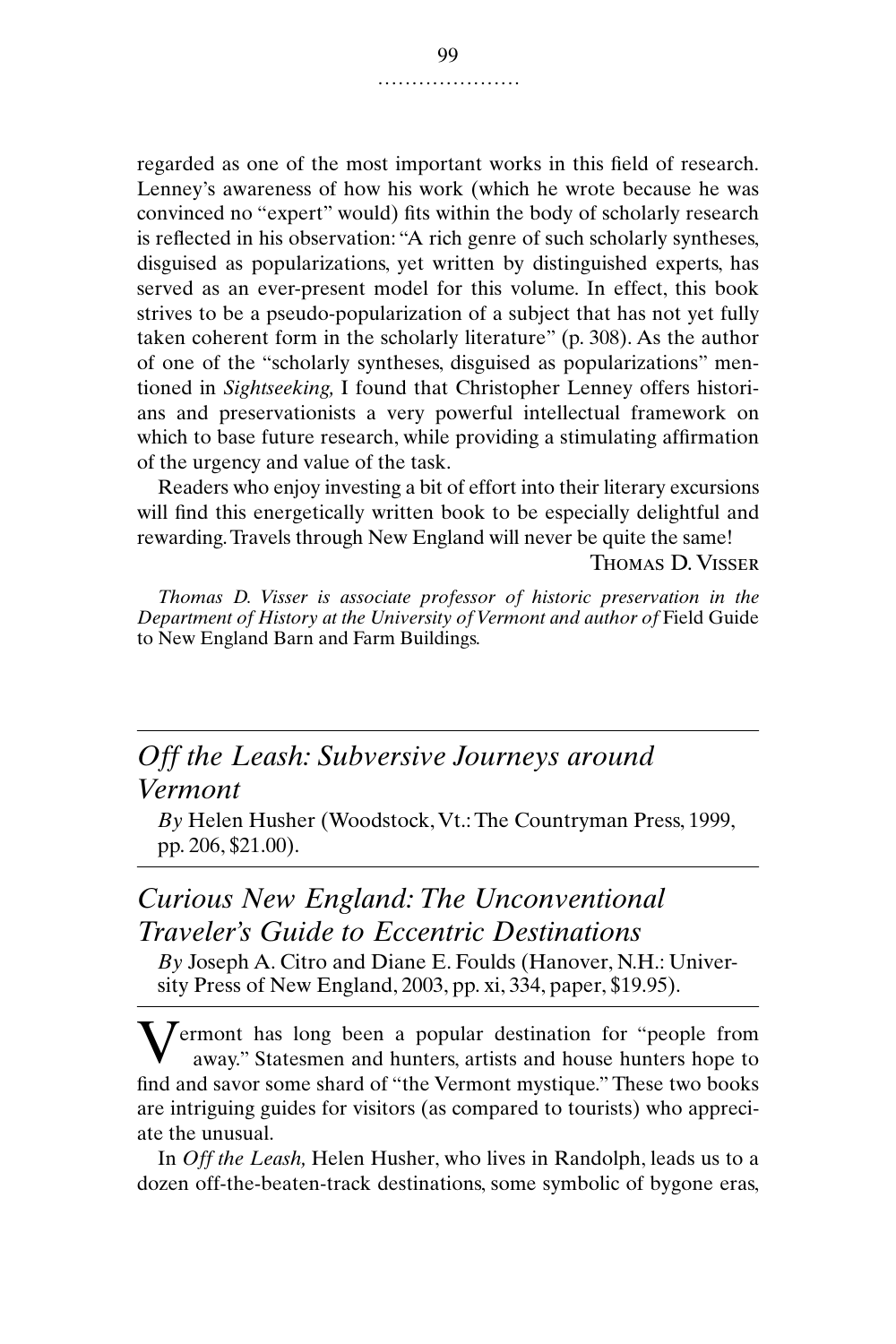regarded as one of the most important works in this field of research. Lenney's awareness of how his work (which he wrote because he was convinced no "expert" would) fits within the body of scholarly research is reflected in his observation: "A rich genre of such scholarly syntheses, disguised as popularizations, yet written by distinguished experts, has served as an ever-present model for this volume. In effect, this book strives to be a pseudo-popularization of a subject that has not yet fully taken coherent form in the scholarly literature" (p. 308). As the author of one of the "scholarly syntheses, disguised as popularizations" mentioned in *Sightseeking,* I found that Christopher Lenney offers historians and preservationists a very powerful intellectual framework on which to base future research, while providing a stimulating affirmation of the urgency and value of the task.

Readers who enjoy investing a bit of effort into their literary excursions will find this energetically written book to be especially delightful and rewarding. Travels through New England will never be quite the same!

Thomas D. Visser

*Thomas D. Visser is associate professor of historic preservation in the Department of History at the University of Vermont and author of* Field Guide to New England Barn and Farm Buildings.

# *Off the Leash: Subversive Journeys around Vermont*

*By* Helen Husher (Woodstock, Vt.: The Countryman Press, 1999, pp. 206, \$21.00).

## *Curious New England: The Unconventional Traveler's Guide to Eccentric Destinations*

*By* Joseph A. Citro and Diane E. Foulds (Hanover, N.H.: University Press of New England, 2003, pp. xi, 334, paper, \$19.95).

**V**ermont has long been a popular destination for "people from away." Statesmen and hunters, artists and house hunters hope to away." Statesmen and hunters, artists and house hunters hope to find and savor some shard of "the Vermont mystique." These two books are intriguing guides for visitors (as compared to tourists) who appreciate the unusual.

In *Off the Leash,* Helen Husher, who lives in Randolph, leads us to a dozen off-the-beaten-track destinations, some symbolic of bygone eras,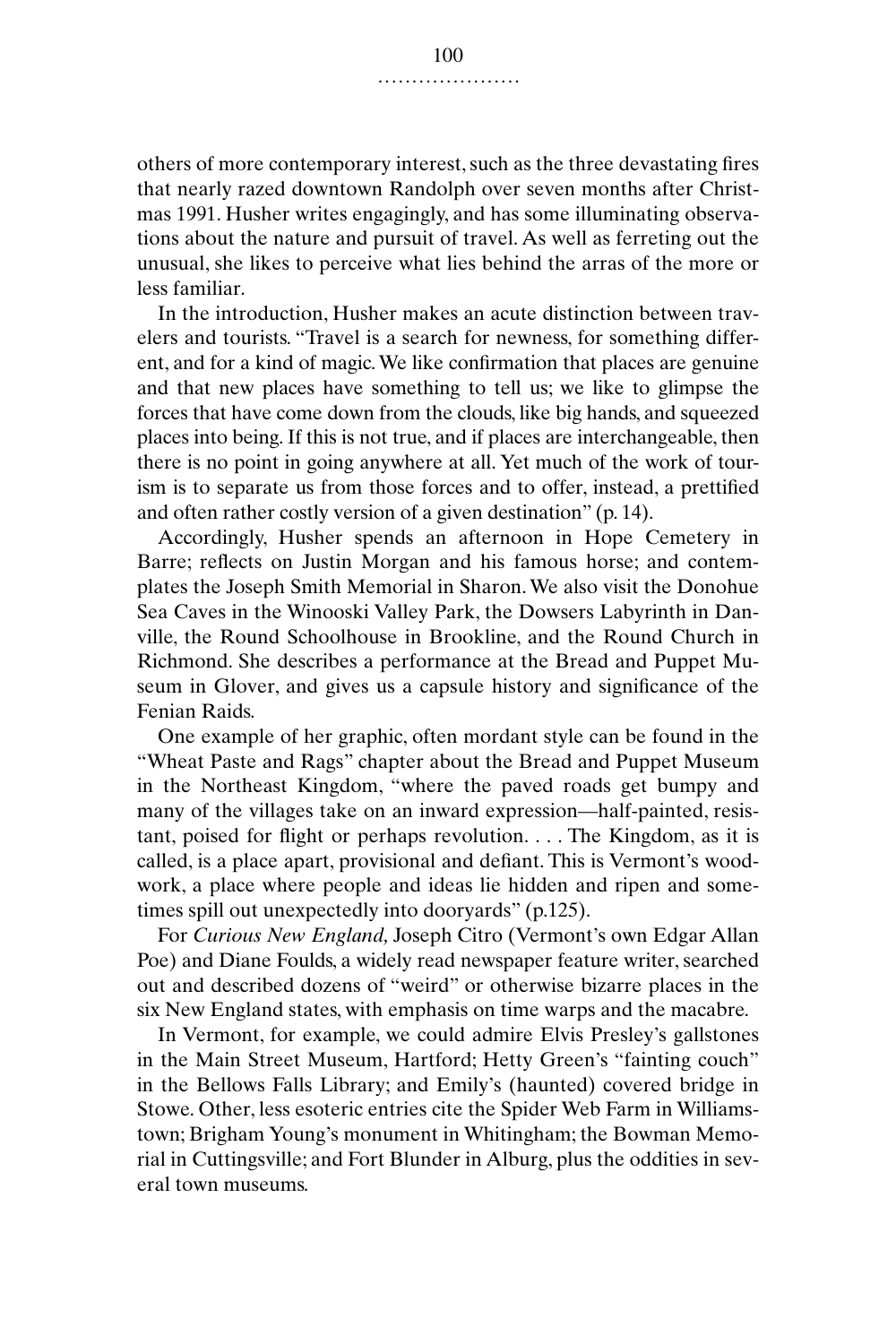others of more contemporary interest, such as the three devastating fires that nearly razed downtown Randolph over seven months after Christmas 1991. Husher writes engagingly, and has some illuminating observations about the nature and pursuit of travel. As well as ferreting out the unusual, she likes to perceive what lies behind the arras of the more or less familiar.

In the introduction, Husher makes an acute distinction between travelers and tourists. "Travel is a search for newness, for something different, and for a kind of magic. We like confirmation that places are genuine and that new places have something to tell us; we like to glimpse the forces that have come down from the clouds, like big hands, and squeezed places into being. If this is not true, and if places are interchangeable, then there is no point in going anywhere at all. Yet much of the work of tourism is to separate us from those forces and to offer, instead, a prettified and often rather costly version of a given destination" (p. 14).

Accordingly, Husher spends an afternoon in Hope Cemetery in Barre; reflects on Justin Morgan and his famous horse; and contemplates the Joseph Smith Memorial in Sharon. We also visit the Donohue Sea Caves in the Winooski Valley Park, the Dowsers Labyrinth in Danville, the Round Schoolhouse in Brookline, and the Round Church in Richmond. She describes a performance at the Bread and Puppet Museum in Glover, and gives us a capsule history and significance of the Fenian Raids.

One example of her graphic, often mordant style can be found in the "Wheat Paste and Rags" chapter about the Bread and Puppet Museum in the Northeast Kingdom, "where the paved roads get bumpy and many of the villages take on an inward expression—half-painted, resistant, poised for flight or perhaps revolution. . . . The Kingdom, as it is called, is a place apart, provisional and defiant. This is Vermont's woodwork, a place where people and ideas lie hidden and ripen and sometimes spill out unexpectedly into dooryards" (p.125).

For *Curious New England,* Joseph Citro (Vermont's own Edgar Allan Poe) and Diane Foulds, a widely read newspaper feature writer, searched out and described dozens of "weird" or otherwise bizarre places in the six New England states, with emphasis on time warps and the macabre.

In Vermont, for example, we could admire Elvis Presley's gallstones in the Main Street Museum, Hartford; Hetty Green's "fainting couch" in the Bellows Falls Library; and Emily's (haunted) covered bridge in Stowe. Other, less esoteric entries cite the Spider Web Farm in Williamstown; Brigham Young's monument in Whitingham; the Bowman Memorial in Cuttingsville; and Fort Blunder in Alburg, plus the oddities in several town museums.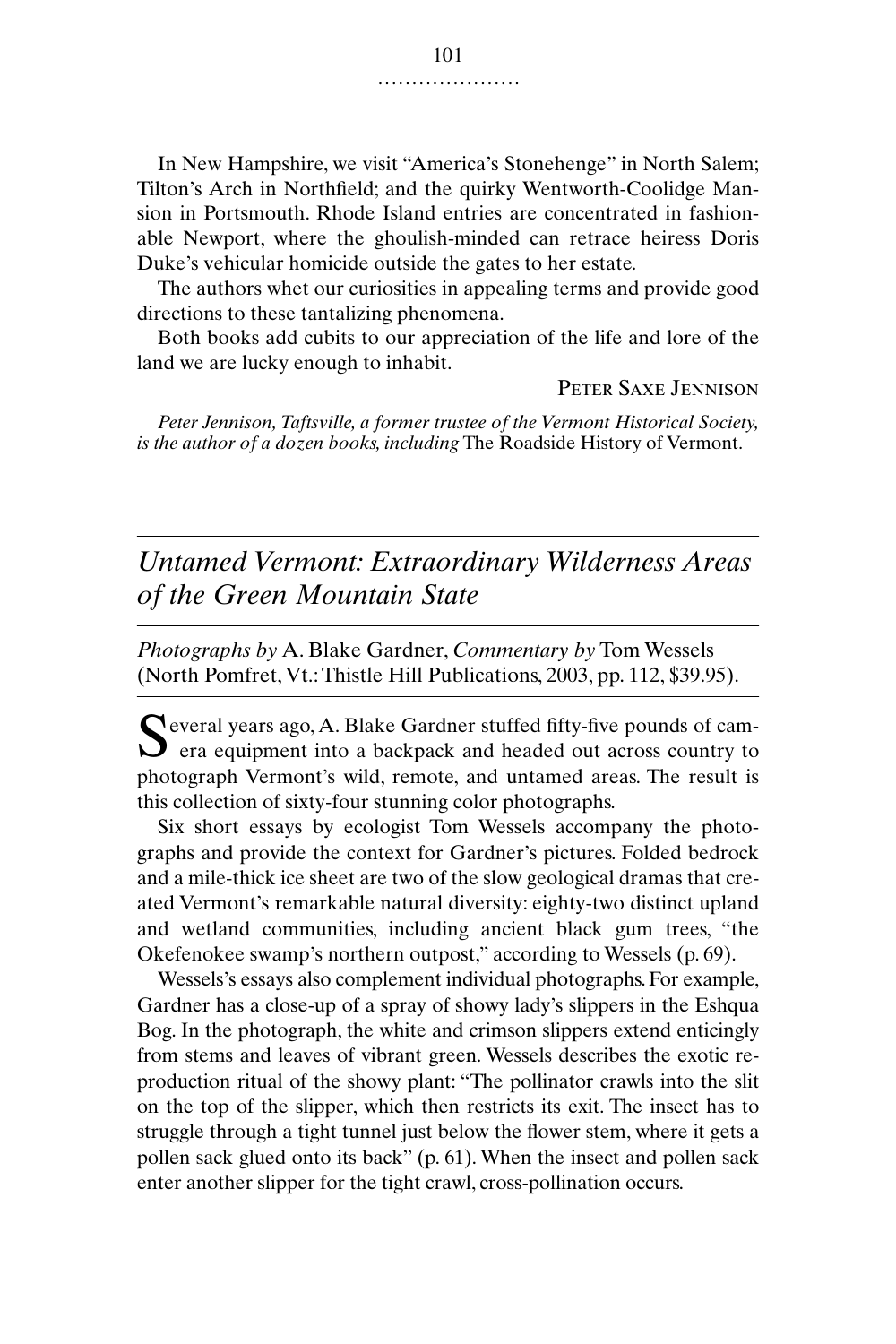In New Hampshire, we visit "America's Stonehenge" in North Salem; Tilton's Arch in Northfield; and the quirky Wentworth-Coolidge Mansion in Portsmouth. Rhode Island entries are concentrated in fashionable Newport, where the ghoulish-minded can retrace heiress Doris Duke's vehicular homicide outside the gates to her estate.

The authors whet our curiosities in appealing terms and provide good directions to these tantalizing phenomena.

Both books add cubits to our appreciation of the life and lore of the land we are lucky enough to inhabit.

Peter Saxe Jennison

*Peter Jennison, Taftsville, a former trustee of the Vermont Historical Society, is the author of a dozen books, including* The Roadside History of Vermont.

## *Untamed Vermont: Extraordinary Wilderness Areas of the Green Mountain State*

*Photographs by* A. Blake Gardner, *Commentary by* Tom Wessels (North Pomfret, Vt.: Thistle Hill Publications, 2003, pp. 112, \$39.95).

Several years ago, A. Blake Gardner stuffed fifty-five pounds of cam-<br>era equipment into a backpack and headed out across country to  $\sum$  era equipment into a backpack and headed out across country to photograph Vermont's wild, remote, and untamed areas. The result is this collection of sixty-four stunning color photographs.

Six short essays by ecologist Tom Wessels accompany the photographs and provide the context for Gardner's pictures. Folded bedrock and a mile-thick ice sheet are two of the slow geological dramas that created Vermont's remarkable natural diversity: eighty-two distinct upland and wetland communities, including ancient black gum trees, "the Okefenokee swamp's northern outpost," according to Wessels (p. 69).

Wessels's essays also complement individual photographs. For example, Gardner has a close-up of a spray of showy lady's slippers in the Eshqua Bog. In the photograph, the white and crimson slippers extend enticingly from stems and leaves of vibrant green. Wessels describes the exotic reproduction ritual of the showy plant: "The pollinator crawls into the slit on the top of the slipper, which then restricts its exit. The insect has to struggle through a tight tunnel just below the flower stem, where it gets a pollen sack glued onto its back" (p. 61). When the insect and pollen sack enter another slipper for the tight crawl, cross-pollination occurs.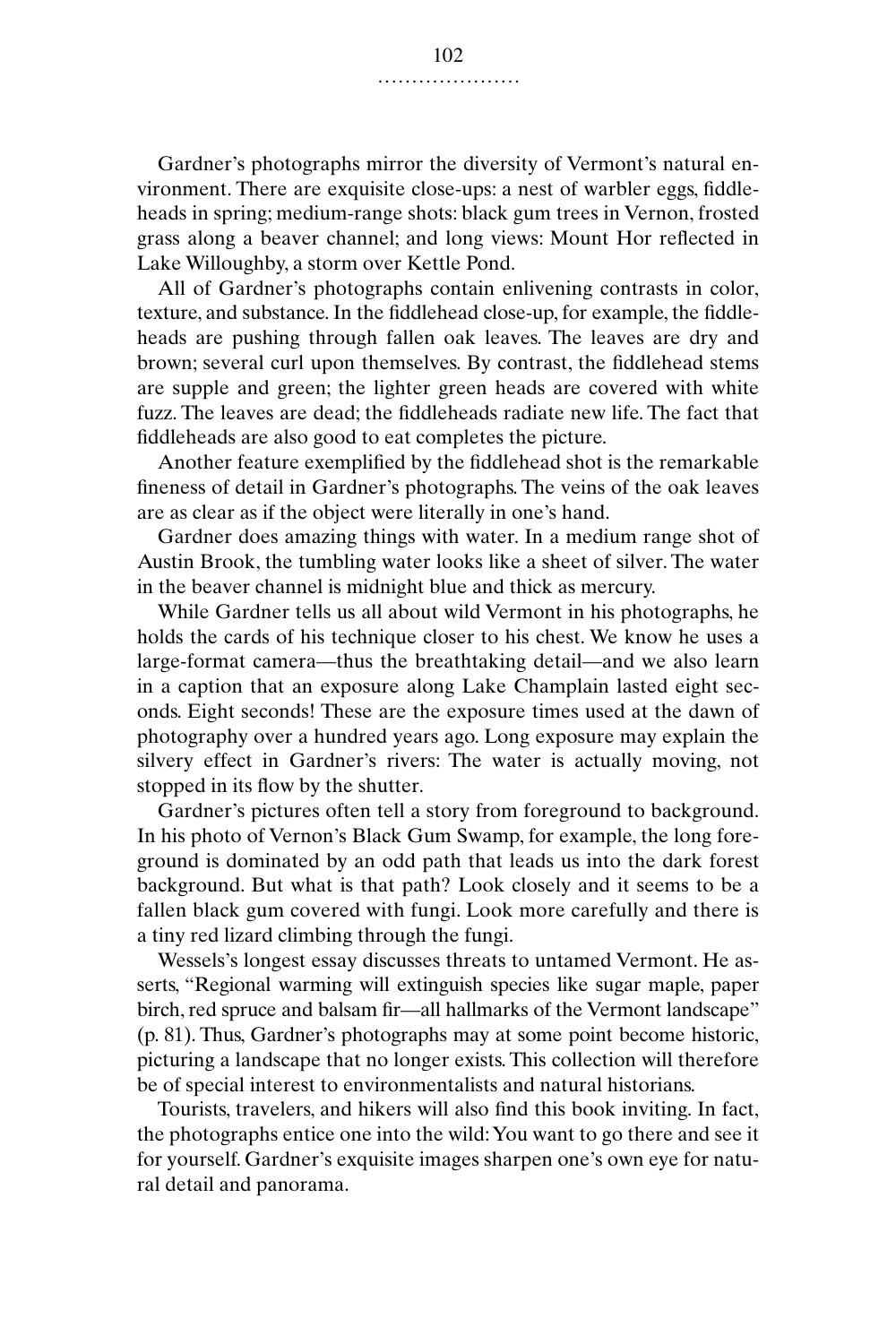Gardner's photographs mirror the diversity of Vermont's natural environment. There are exquisite close-ups: a nest of warbler eggs, fiddleheads in spring; medium-range shots: black gum trees in Vernon, frosted grass along a beaver channel; and long views: Mount Hor reflected in Lake Willoughby, a storm over Kettle Pond.

All of Gardner's photographs contain enlivening contrasts in color, texture, and substance. In the fiddlehead close-up, for example, the fiddleheads are pushing through fallen oak leaves. The leaves are dry and brown; several curl upon themselves. By contrast, the fiddlehead stems are supple and green; the lighter green heads are covered with white fuzz. The leaves are dead; the fiddleheads radiate new life. The fact that fiddleheads are also good to eat completes the picture.

Another feature exemplified by the fiddlehead shot is the remarkable fineness of detail in Gardner's photographs. The veins of the oak leaves are as clear as if the object were literally in one's hand.

Gardner does amazing things with water. In a medium range shot of Austin Brook, the tumbling water looks like a sheet of silver. The water in the beaver channel is midnight blue and thick as mercury.

While Gardner tells us all about wild Vermont in his photographs, he holds the cards of his technique closer to his chest. We know he uses a large-format camera—thus the breathtaking detail—and we also learn in a caption that an exposure along Lake Champlain lasted eight seconds. Eight seconds! These are the exposure times used at the dawn of photography over a hundred years ago. Long exposure may explain the silvery effect in Gardner's rivers: The water is actually moving, not stopped in its flow by the shutter.

Gardner's pictures often tell a story from foreground to background. In his photo of Vernon's Black Gum Swamp, for example, the long foreground is dominated by an odd path that leads us into the dark forest background. But what is that path? Look closely and it seems to be a fallen black gum covered with fungi. Look more carefully and there is a tiny red lizard climbing through the fungi.

Wessels's longest essay discusses threats to untamed Vermont. He asserts, "Regional warming will extinguish species like sugar maple, paper birch, red spruce and balsam fir—all hallmarks of the Vermont landscape" (p. 81). Thus, Gardner's photographs may at some point become historic, picturing a landscape that no longer exists. This collection will therefore be of special interest to environmentalists and natural historians.

Tourists, travelers, and hikers will also find this book inviting. In fact, the photographs entice one into the wild: You want to go there and see it for yourself. Gardner's exquisite images sharpen one's own eye for natural detail and panorama.